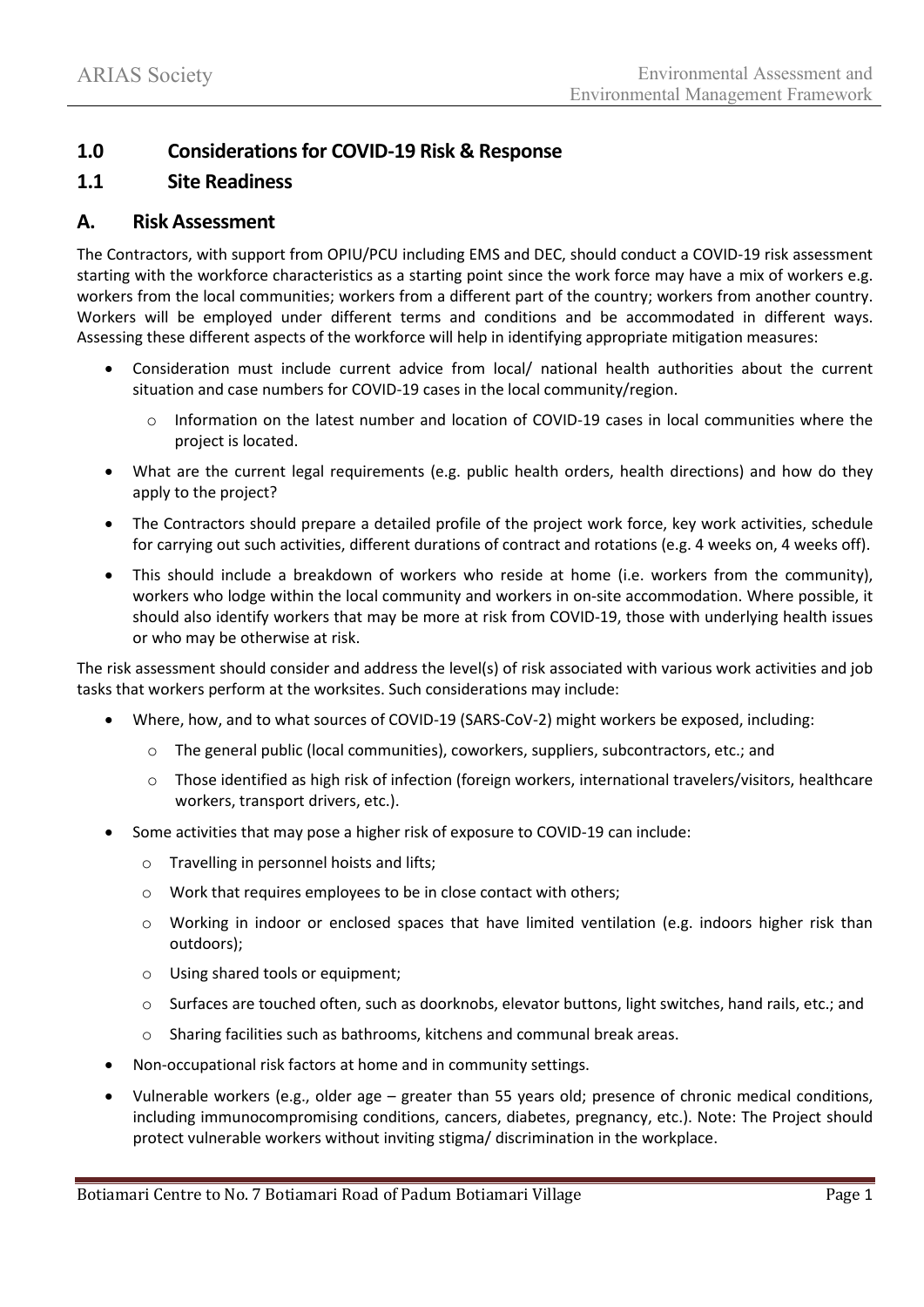## **1.0 Considerations for COVID-19 Risk & Response**

### **1.1 Site Readiness**

### **A. Risk Assessment**

The Contractors, with support from OPIU/PCU including EMS and DEC, should conduct a COVID-19 risk assessment starting with the workforce characteristics as a starting point since the work force may have a mix of workers e.g. workers from the local communities; workers from a different part of the country; workers from another country. Workers will be employed under different terms and conditions and be accommodated in different ways. Assessing these different aspects of the workforce will help in identifying appropriate mitigation measures:

- Consideration must include current advice from local/ national health authorities about the current situation and case numbers for COVID-19 cases in the local community/region.
	- $\circ$  Information on the latest number and location of COVID-19 cases in local communities where the project is located.
- What are the current legal requirements (e.g. public health orders, health directions) and how do they apply to the project?
- The Contractors should prepare a detailed profile of the project work force, key work activities, schedule for carrying out such activities, different durations of contract and rotations (e.g. 4 weeks on, 4 weeks off).
- This should include a breakdown of workers who reside at home (i.e. workers from the community), workers who lodge within the local community and workers in on-site accommodation. Where possible, it should also identify workers that may be more at risk from COVID-19, those with underlying health issues or who may be otherwise at risk.

The risk assessment should consider and address the level(s) of risk associated with various work activities and job tasks that workers perform at the worksites. Such considerations may include:

- Where, how, and to what sources of COVID-19 (SARS-CoV-2) might workers be exposed, including:
	- o The general public (local communities), coworkers, suppliers, subcontractors, etc.; and
	- o Those identified as high risk of infection (foreign workers, international travelers/visitors, healthcare workers, transport drivers, etc.).
- Some activities that may pose a higher risk of exposure to COVID-19 can include:
	- o Travelling in personnel hoists and lifts;
	- o Work that requires employees to be in close contact with others;
	- o Working in indoor or enclosed spaces that have limited ventilation (e.g. indoors higher risk than outdoors);
	- o Using shared tools or equipment;
	- o Surfaces are touched often, such as doorknobs, elevator buttons, light switches, hand rails, etc.; and
	- o Sharing facilities such as bathrooms, kitchens and communal break areas.
- Non-occupational risk factors at home and in community settings.
- Vulnerable workers (e.g., older age greater than 55 years old; presence of chronic medical conditions, including immunocompromising conditions, cancers, diabetes, pregnancy, etc.). Note: The Project should protect vulnerable workers without inviting stigma/ discrimination in the workplace.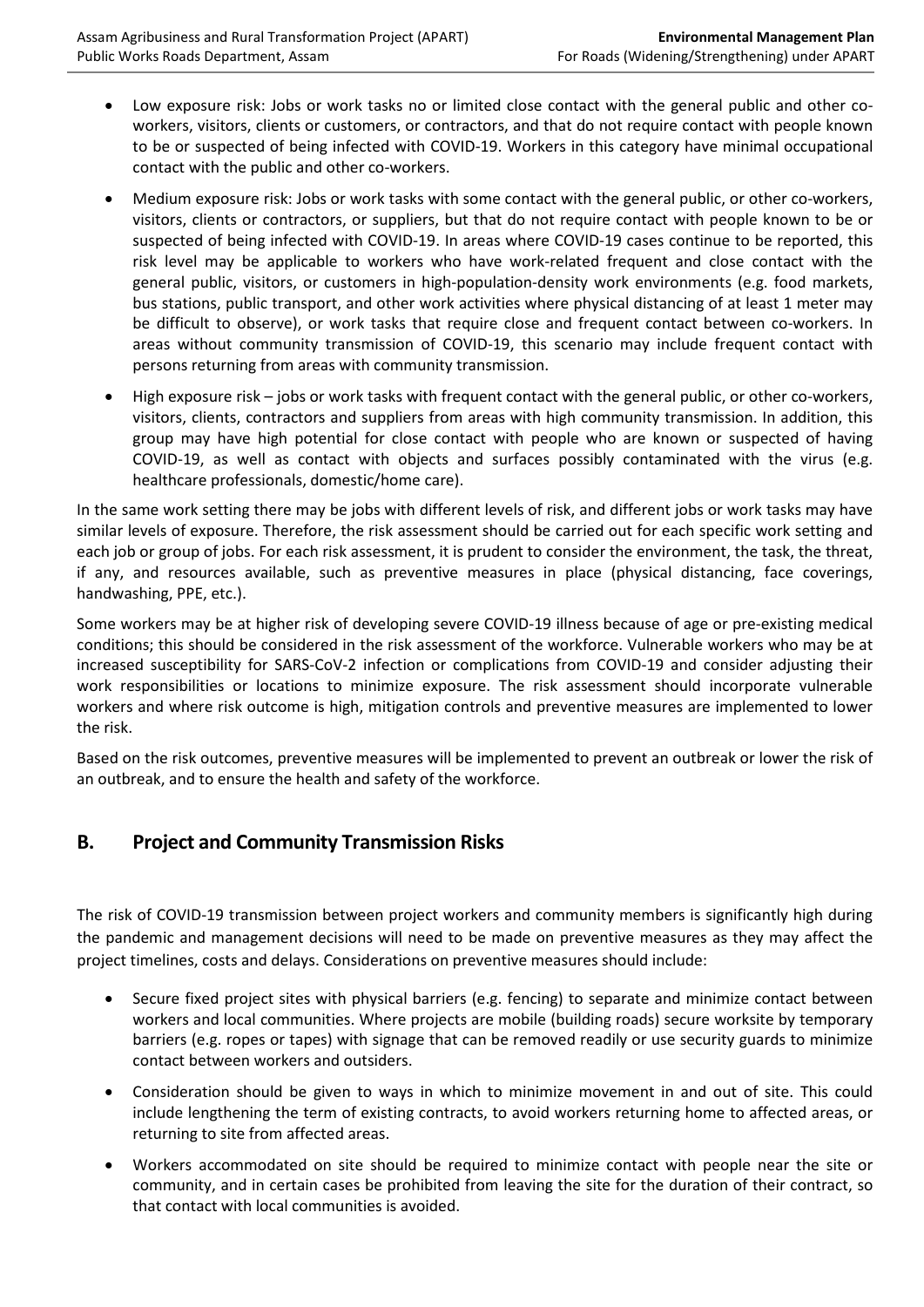- Low exposure risk: Jobs or work tasks no or limited close contact with the general public and other coworkers, visitors, clients or customers, or contractors, and that do not require contact with people known to be or suspected of being infected with COVID-19. Workers in this category have minimal occupational contact with the public and other co-workers.
- Medium exposure risk: Jobs or work tasks with some contact with the general public, or other co-workers, visitors, clients or contractors, or suppliers, but that do not require contact with people known to be or suspected of being infected with COVID-19. In areas where COVID-19 cases continue to be reported, this risk level may be applicable to workers who have work-related frequent and close contact with the general public, visitors, or customers in high-population-density work environments (e.g. food markets, bus stations, public transport, and other work activities where physical distancing of at least 1 meter may be difficult to observe), or work tasks that require close and frequent contact between co-workers. In areas without community transmission of COVID-19, this scenario may include frequent contact with persons returning from areas with community transmission.
- High exposure risk jobs or work tasks with frequent contact with the general public, or other co-workers, visitors, clients, contractors and suppliers from areas with high community transmission. In addition, this group may have high potential for close contact with people who are known or suspected of having COVID-19, as well as contact with objects and surfaces possibly contaminated with the virus (e.g. healthcare professionals, domestic/home care).

In the same work setting there may be jobs with different levels of risk, and different jobs or work tasks may have similar levels of exposure. Therefore, the risk assessment should be carried out for each specific work setting and each job or group of jobs. For each risk assessment, it is prudent to consider the environment, the task, the threat, if any, and resources available, such as preventive measures in place (physical distancing, face coverings, handwashing, PPE, etc.).

Some workers may be at higher risk of developing severe COVID-19 illness because of age or pre-existing medical conditions; this should be considered in the risk assessment of the workforce. Vulnerable workers who may be at increased susceptibility for SARS-CoV-2 infection or complications from COVID-19 and consider adjusting their work responsibilities or locations to minimize exposure. The risk assessment should incorporate vulnerable workers and where risk outcome is high, mitigation controls and preventive measures are implemented to lower the risk.

Based on the risk outcomes, preventive measures will be implemented to prevent an outbreak or lower the risk of an outbreak, and to ensure the health and safety of the workforce.

# **B. Project and Community Transmission Risks**

The risk of COVID-19 transmission between project workers and community members is significantly high during the pandemic and management decisions will need to be made on preventive measures as they may affect the project timelines, costs and delays. Considerations on preventive measures should include:

- Secure fixed project sites with physical barriers (e.g. fencing) to separate and minimize contact between workers and local communities. Where projects are mobile (building roads) secure worksite by temporary barriers (e.g. ropes or tapes) with signage that can be removed readily or use security guards to minimize contact between workers and outsiders.
- Consideration should be given to ways in which to minimize movement in and out of site. This could include lengthening the term of existing contracts, to avoid workers returning home to affected areas, or returning to site from affected areas.
- Workers accommodated on site should be required to minimize contact with people near the site or community, and in certain cases be prohibited from leaving the site for the duration of their contract, so that contact with local communities is avoided.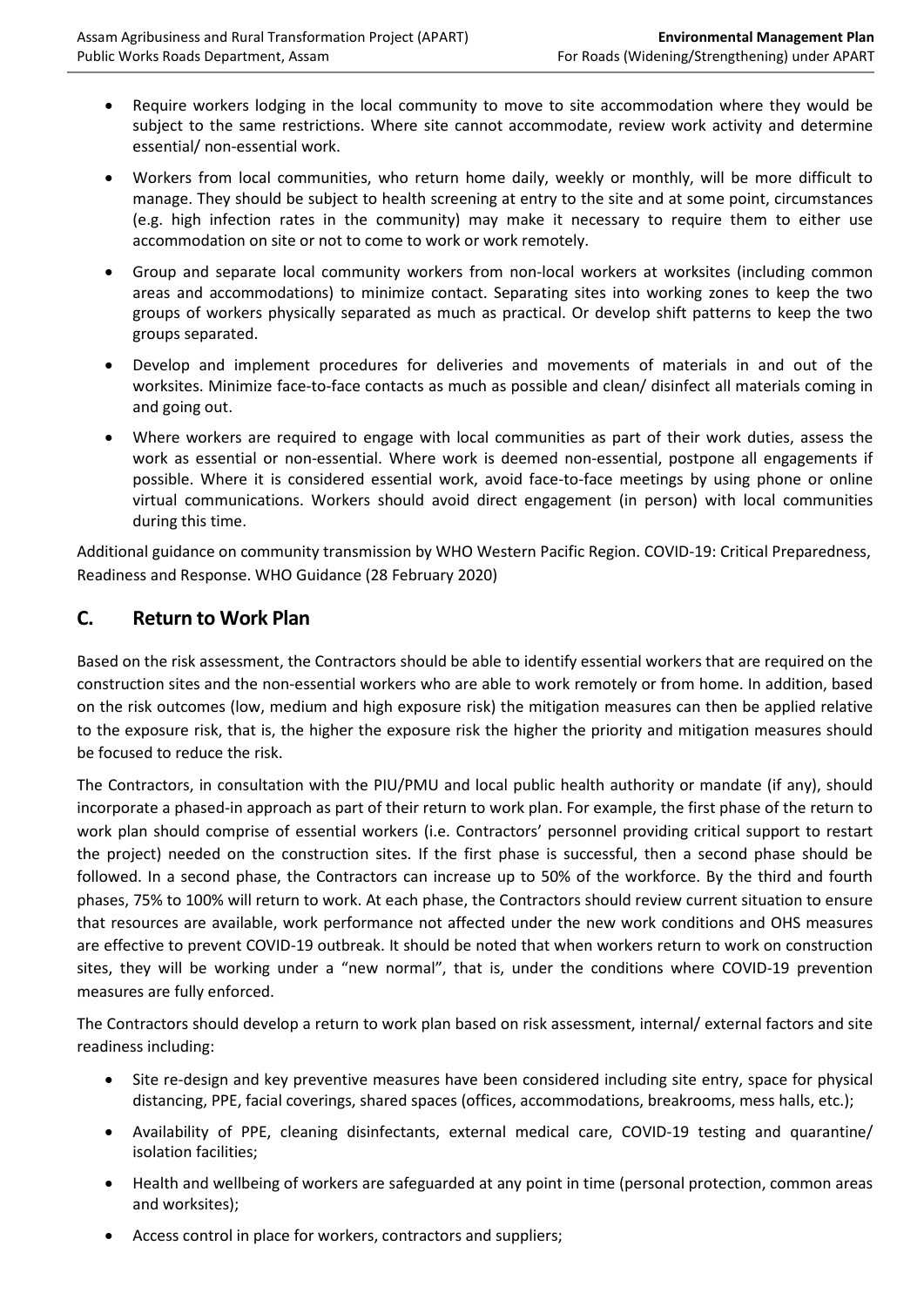- Require workers lodging in the local community to move to site accommodation where they would be subject to the same restrictions. Where site cannot accommodate, review work activity and determine essential/ non-essential work.
- Workers from local communities, who return home daily, weekly or monthly, will be more difficult to manage. They should be subject to health screening at entry to the site and at some point, circumstances (e.g. high infection rates in the community) may make it necessary to require them to either use accommodation on site or not to come to work or work remotely.
- Group and separate local community workers from non-local workers at worksites (including common areas and accommodations) to minimize contact. Separating sites into working zones to keep the two groups of workers physically separated as much as practical. Or develop shift patterns to keep the two groups separated.
- Develop and implement procedures for deliveries and movements of materials in and out of the worksites. Minimize face-to-face contacts as much as possible and clean/ disinfect all materials coming in and going out.
- Where workers are required to engage with local communities as part of their work duties, assess the work as essential or non-essential. Where work is deemed non-essential, postpone all engagements if possible. Where it is considered essential work, avoid face-to-face meetings by using phone or online virtual communications. Workers should avoid direct engagement (in person) with local communities during this time.

Additional guidance on community transmission by WHO Western Pacific Region. COVID-19: Critical Preparedness, Readiness and Response. WHO Guidance (28 February 2020)

## **C. Return to Work Plan**

Based on the risk assessment, the Contractors should be able to identify essential workers that are required on the construction sites and the non-essential workers who are able to work remotely or from home. In addition, based on the risk outcomes (low, medium and high exposure risk) the mitigation measures can then be applied relative to the exposure risk, that is, the higher the exposure risk the higher the priority and mitigation measures should be focused to reduce the risk.

The Contractors, in consultation with the PIU/PMU and local public health authority or mandate (if any), should incorporate a phased-in approach as part of their return to work plan. For example, the first phase of the return to work plan should comprise of essential workers (i.e. Contractors' personnel providing critical support to restart the project) needed on the construction sites. If the first phase is successful, then a second phase should be followed. In a second phase, the Contractors can increase up to 50% of the workforce. By the third and fourth phases, 75% to 100% will return to work. At each phase, the Contractors should review current situation to ensure that resources are available, work performance not affected under the new work conditions and OHS measures are effective to prevent COVID-19 outbreak. It should be noted that when workers return to work on construction sites, they will be working under a "new normal", that is, under the conditions where COVID-19 prevention measures are fully enforced.

The Contractors should develop a return to work plan based on risk assessment, internal/ external factors and site readiness including:

- Site re-design and key preventive measures have been considered including site entry, space for physical distancing, PPE, facial coverings, shared spaces (offices, accommodations, breakrooms, mess halls, etc.);
- Availability of PPE, cleaning disinfectants, external medical care, COVID-19 testing and quarantine/ isolation facilities;
- Health and wellbeing of workers are safeguarded at any point in time (personal protection, common areas and worksites);
- Access control in place for workers, contractors and suppliers;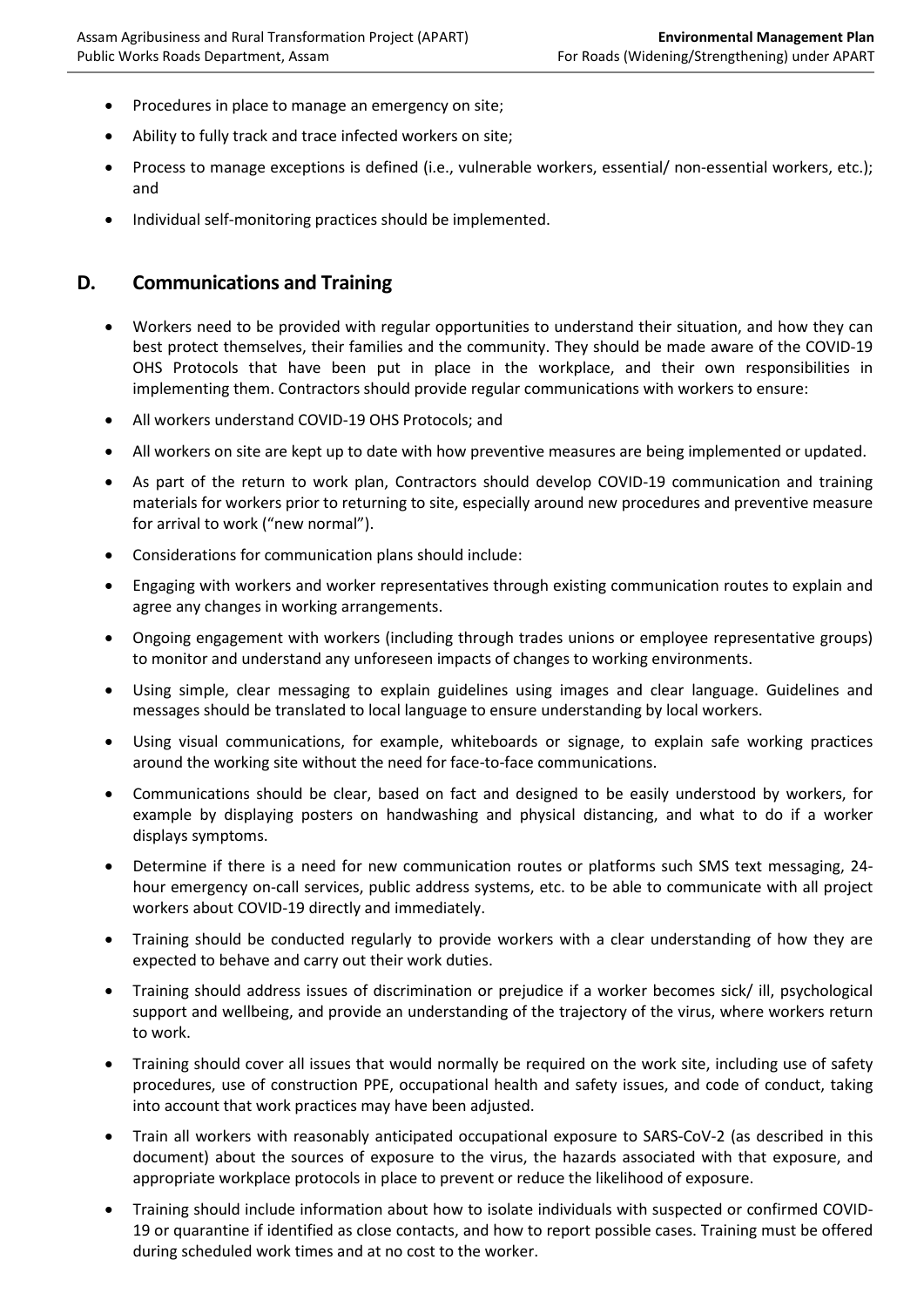- Procedures in place to manage an emergency on site;
- Ability to fully track and trace infected workers on site;
- Process to manage exceptions is defined (i.e., vulnerable workers, essential/ non-essential workers, etc.); and
- Individual self-monitoring practices should be implemented.

### **D. Communications and Training**

- Workers need to be provided with regular opportunities to understand their situation, and how they can best protect themselves, their families and the community. They should be made aware of the COVID-19 OHS Protocols that have been put in place in the workplace, and their own responsibilities in implementing them. Contractors should provide regular communications with workers to ensure:
- All workers understand COVID-19 OHS Protocols; and
- All workers on site are kept up to date with how preventive measures are being implemented or updated.
- As part of the return to work plan, Contractors should develop COVID-19 communication and training materials for workers prior to returning to site, especially around new procedures and preventive measure for arrival to work ("new normal").
- Considerations for communication plans should include:
- Engaging with workers and worker representatives through existing communication routes to explain and agree any changes in working arrangements.
- Ongoing engagement with workers (including through trades unions or employee representative groups) to monitor and understand any unforeseen impacts of changes to working environments.
- Using simple, clear messaging to explain guidelines using images and clear language. Guidelines and messages should be translated to local language to ensure understanding by local workers.
- Using visual communications, for example, whiteboards or signage, to explain safe working practices around the working site without the need for face-to-face communications.
- Communications should be clear, based on fact and designed to be easily understood by workers, for example by displaying posters on handwashing and physical distancing, and what to do if a worker displays symptoms.
- Determine if there is a need for new communication routes or platforms such SMS text messaging, 24 hour emergency on-call services, public address systems, etc. to be able to communicate with all project workers about COVID-19 directly and immediately.
- Training should be conducted regularly to provide workers with a clear understanding of how they are expected to behave and carry out their work duties.
- Training should address issues of discrimination or prejudice if a worker becomes sick/ ill, psychological support and wellbeing, and provide an understanding of the trajectory of the virus, where workers return to work.
- Training should cover all issues that would normally be required on the work site, including use of safety procedures, use of construction PPE, occupational health and safety issues, and code of conduct, taking into account that work practices may have been adjusted.
- Train all workers with reasonably anticipated occupational exposure to SARS-CoV-2 (as described in this document) about the sources of exposure to the virus, the hazards associated with that exposure, and appropriate workplace protocols in place to prevent or reduce the likelihood of exposure.
- Training should include information about how to isolate individuals with suspected or confirmed COVID-19 or quarantine if identified as close contacts, and how to report possible cases. Training must be offered during scheduled work times and at no cost to the worker.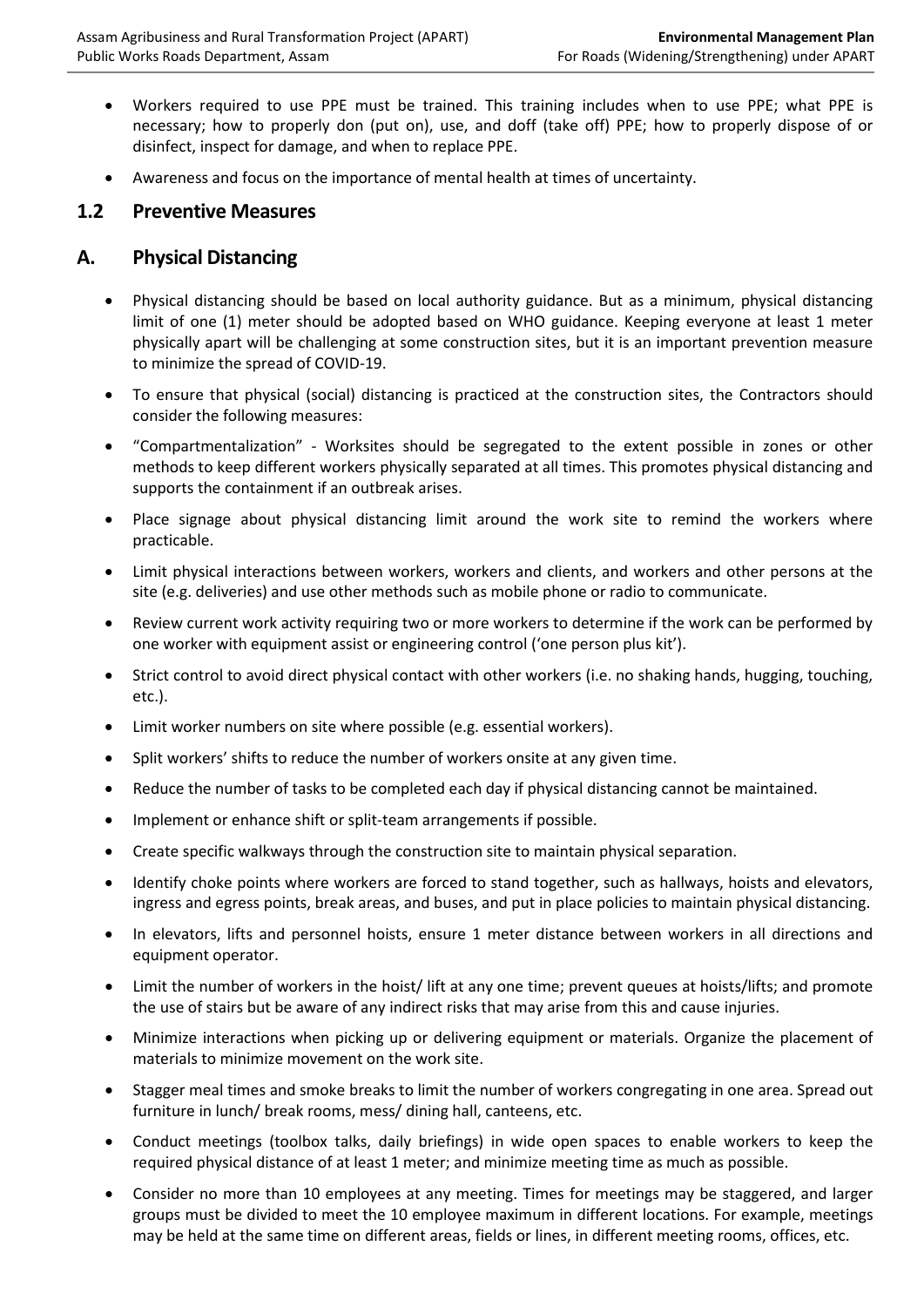- Workers required to use PPE must be trained. This training includes when to use PPE; what PPE is necessary; how to properly don (put on), use, and doff (take off) PPE; how to properly dispose of or disinfect, inspect for damage, and when to replace PPE.
- Awareness and focus on the importance of mental health at times of uncertainty.

### **1.2 Preventive Measures**

### **A. Physical Distancing**

- Physical distancing should be based on local authority guidance. But as a minimum, physical distancing limit of one (1) meter should be adopted based on WHO guidance. Keeping everyone at least 1 meter physically apart will be challenging at some construction sites, but it is an important prevention measure to minimize the spread of COVID-19.
- To ensure that physical (social) distancing is practiced at the construction sites, the Contractors should consider the following measures:
- "Compartmentalization" Worksites should be segregated to the extent possible in zones or other methods to keep different workers physically separated at all times. This promotes physical distancing and supports the containment if an outbreak arises.
- Place signage about physical distancing limit around the work site to remind the workers where practicable.
- Limit physical interactions between workers, workers and clients, and workers and other persons at the site (e.g. deliveries) and use other methods such as mobile phone or radio to communicate.
- Review current work activity requiring two or more workers to determine if the work can be performed by one worker with equipment assist or engineering control ('one person plus kit').
- Strict control to avoid direct physical contact with other workers (i.e. no shaking hands, hugging, touching, etc.).
- Limit worker numbers on site where possible (e.g. essential workers).
- Split workers' shifts to reduce the number of workers onsite at any given time.
- Reduce the number of tasks to be completed each day if physical distancing cannot be maintained.
- Implement or enhance shift or split-team arrangements if possible.
- Create specific walkways through the construction site to maintain physical separation.
- Identify choke points where workers are forced to stand together, such as hallways, hoists and elevators, ingress and egress points, break areas, and buses, and put in place policies to maintain physical distancing.
- In elevators, lifts and personnel hoists, ensure 1 meter distance between workers in all directions and equipment operator.
- Limit the number of workers in the hoist/ lift at any one time; prevent queues at hoists/lifts; and promote the use of stairs but be aware of any indirect risks that may arise from this and cause injuries.
- Minimize interactions when picking up or delivering equipment or materials. Organize the placement of materials to minimize movement on the work site.
- Stagger meal times and smoke breaks to limit the number of workers congregating in one area. Spread out furniture in lunch/ break rooms, mess/ dining hall, canteens, etc.
- Conduct meetings (toolbox talks, daily briefings) in wide open spaces to enable workers to keep the required physical distance of at least 1 meter; and minimize meeting time as much as possible.
- Consider no more than 10 employees at any meeting. Times for meetings may be staggered, and larger groups must be divided to meet the 10 employee maximum in different locations. For example, meetings may be held at the same time on different areas, fields or lines, in different meeting rooms, offices, etc.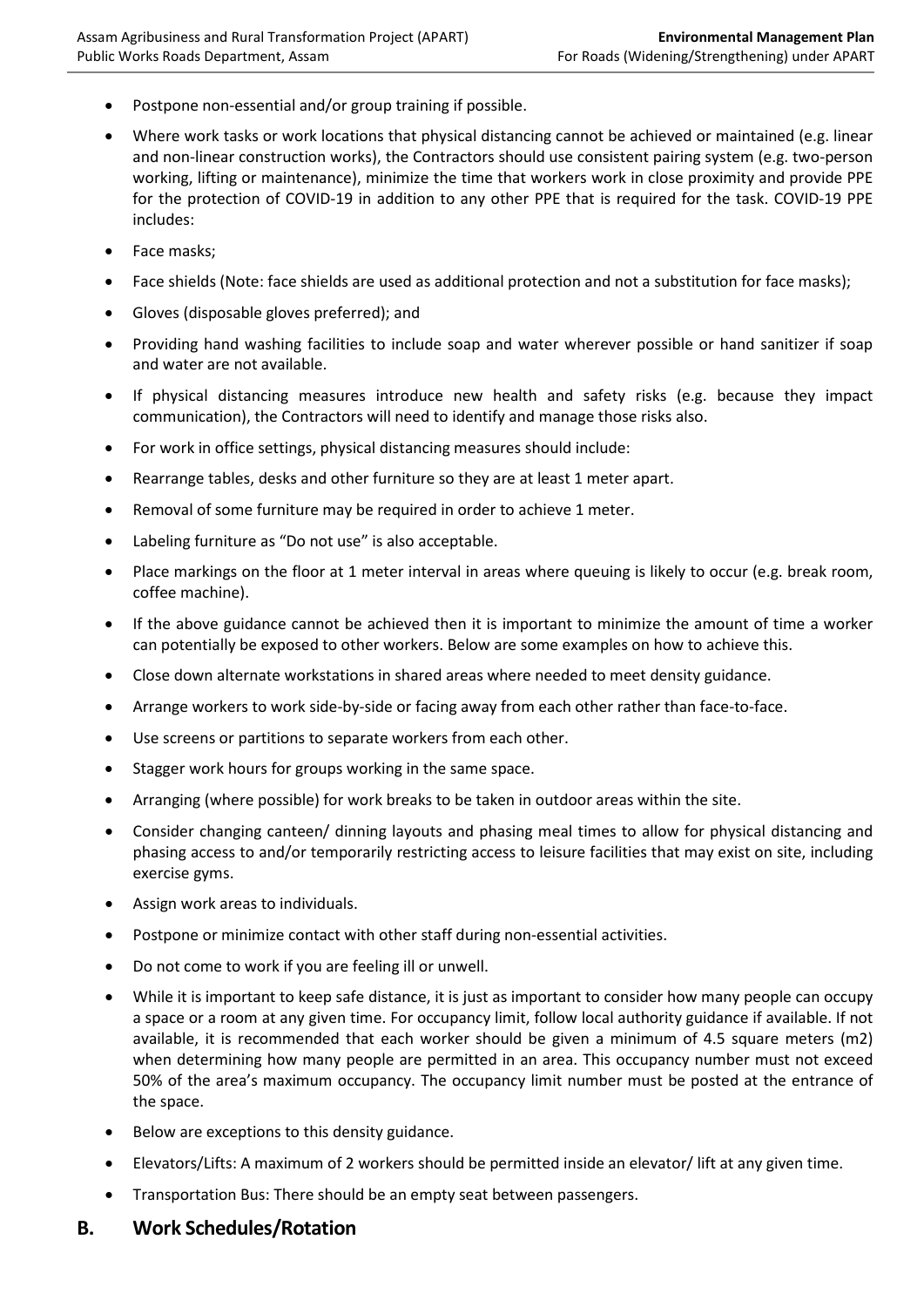- Postpone non-essential and/or group training if possible.
- Where work tasks or work locations that physical distancing cannot be achieved or maintained (e.g. linear and non-linear construction works), the Contractors should use consistent pairing system (e.g. two-person working, lifting or maintenance), minimize the time that workers work in close proximity and provide PPE for the protection of COVID-19 in addition to any other PPE that is required for the task. COVID-19 PPE includes:
- Face masks;
- Face shields (Note: face shields are used as additional protection and not a substitution for face masks);
- Gloves (disposable gloves preferred); and
- Providing hand washing facilities to include soap and water wherever possible or hand sanitizer if soap and water are not available.
- If physical distancing measures introduce new health and safety risks (e.g. because they impact communication), the Contractors will need to identify and manage those risks also.
- For work in office settings, physical distancing measures should include:
- Rearrange tables, desks and other furniture so they are at least 1 meter apart.
- Removal of some furniture may be required in order to achieve 1 meter.
- Labeling furniture as "Do not use" is also acceptable.
- Place markings on the floor at 1 meter interval in areas where queuing is likely to occur (e.g. break room, coffee machine).
- If the above guidance cannot be achieved then it is important to minimize the amount of time a worker can potentially be exposed to other workers. Below are some examples on how to achieve this.
- Close down alternate workstations in shared areas where needed to meet density guidance.
- Arrange workers to work side-by-side or facing away from each other rather than face-to-face.
- Use screens or partitions to separate workers from each other.
- Stagger work hours for groups working in the same space.
- Arranging (where possible) for work breaks to be taken in outdoor areas within the site.
- Consider changing canteen/ dinning layouts and phasing meal times to allow for physical distancing and phasing access to and/or temporarily restricting access to leisure facilities that may exist on site, including exercise gyms.
- Assign work areas to individuals.
- Postpone or minimize contact with other staff during non-essential activities.
- Do not come to work if you are feeling ill or unwell.
- While it is important to keep safe distance, it is just as important to consider how many people can occupy a space or a room at any given time. For occupancy limit, follow local authority guidance if available. If not available, it is recommended that each worker should be given a minimum of 4.5 square meters (m2) when determining how many people are permitted in an area. This occupancy number must not exceed 50% of the area's maximum occupancy. The occupancy limit number must be posted at the entrance of the space.
- Below are exceptions to this density guidance.
- Elevators/Lifts: A maximum of 2 workers should be permitted inside an elevator/ lift at any given time.
- Transportation Bus: There should be an empty seat between passengers.

### **B. Work Schedules/Rotation**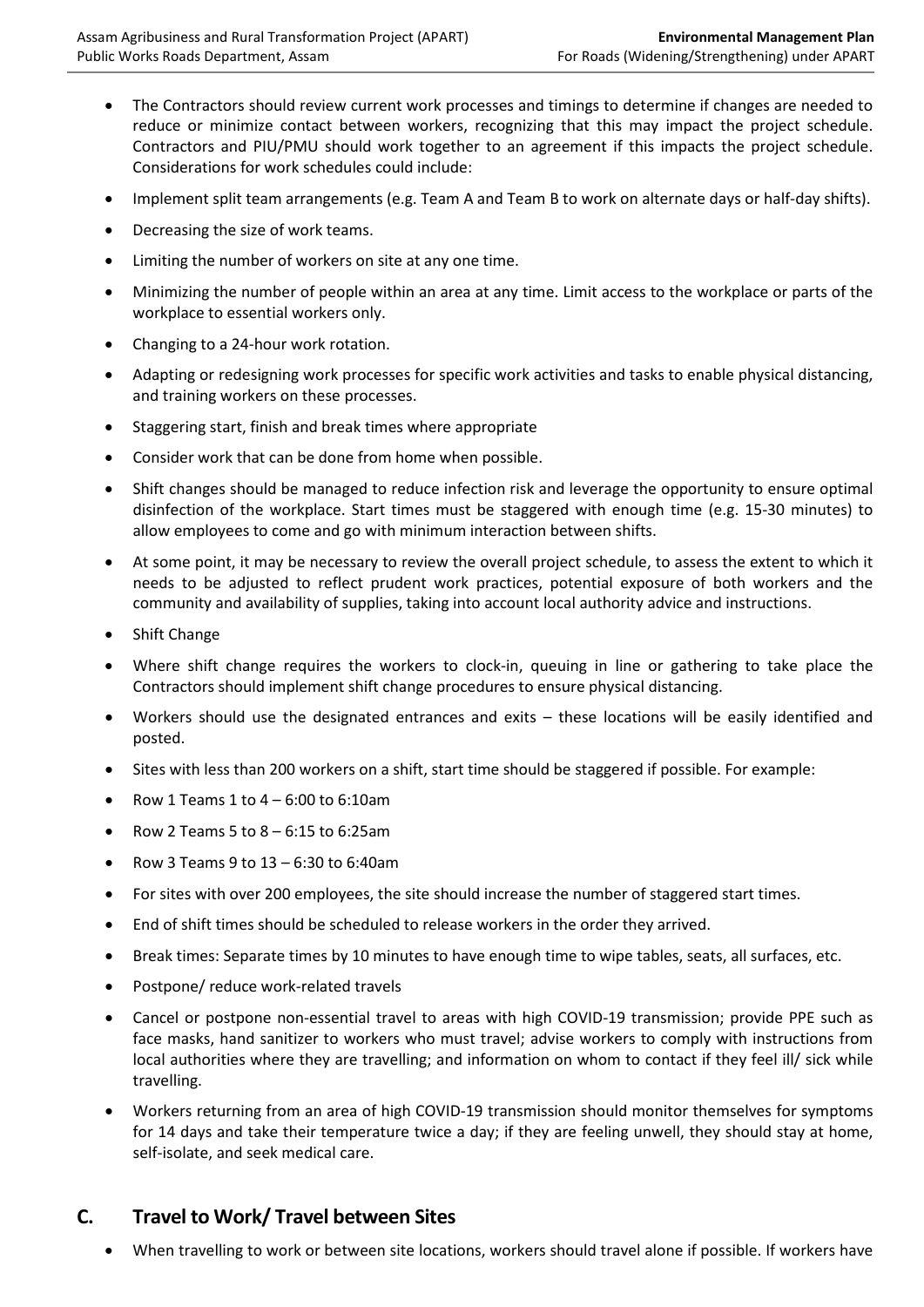- The Contractors should review current work processes and timings to determine if changes are needed to reduce or minimize contact between workers, recognizing that this may impact the project schedule. Contractors and PIU/PMU should work together to an agreement if this impacts the project schedule. Considerations for work schedules could include:
- Implement split team arrangements (e.g. Team A and Team B to work on alternate days or half-day shifts).
- Decreasing the size of work teams.
- Limiting the number of workers on site at any one time.
- Minimizing the number of people within an area at any time. Limit access to the workplace or parts of the workplace to essential workers only.
- Changing to a 24-hour work rotation.
- Adapting or redesigning work processes for specific work activities and tasks to enable physical distancing, and training workers on these processes.
- Staggering start, finish and break times where appropriate
- Consider work that can be done from home when possible.
- Shift changes should be managed to reduce infection risk and leverage the opportunity to ensure optimal disinfection of the workplace. Start times must be staggered with enough time (e.g. 15-30 minutes) to allow employees to come and go with minimum interaction between shifts.
- At some point, it may be necessary to review the overall project schedule, to assess the extent to which it needs to be adjusted to reflect prudent work practices, potential exposure of both workers and the community and availability of supplies, taking into account local authority advice and instructions.
- Shift Change
- Where shift change requires the workers to clock-in, queuing in line or gathering to take place the Contractors should implement shift change procedures to ensure physical distancing.
- Workers should use the designated entrances and exits these locations will be easily identified and posted.
- Sites with less than 200 workers on a shift, start time should be staggered if possible. For example:
- Row 1 Teams 1 to 4 6:00 to 6:10am
- Row 2 Teams 5 to 8 6:15 to 6:25am
- Row 3 Teams 9 to 13 6:30 to 6:40am
- For sites with over 200 employees, the site should increase the number of staggered start times.
- End of shift times should be scheduled to release workers in the order they arrived.
- Break times: Separate times by 10 minutes to have enough time to wipe tables, seats, all surfaces, etc.
- Postpone/ reduce work-related travels
- Cancel or postpone non-essential travel to areas with high COVID-19 transmission; provide PPE such as face masks, hand sanitizer to workers who must travel; advise workers to comply with instructions from local authorities where they are travelling; and information on whom to contact if they feel ill/ sick while travelling.
- Workers returning from an area of high COVID-19 transmission should monitor themselves for symptoms for 14 days and take their temperature twice a day; if they are feeling unwell, they should stay at home, self-isolate, and seek medical care.

## **C. Travel to Work/ Travel between Sites**

• When travelling to work or between site locations, workers should travel alone if possible. If workers have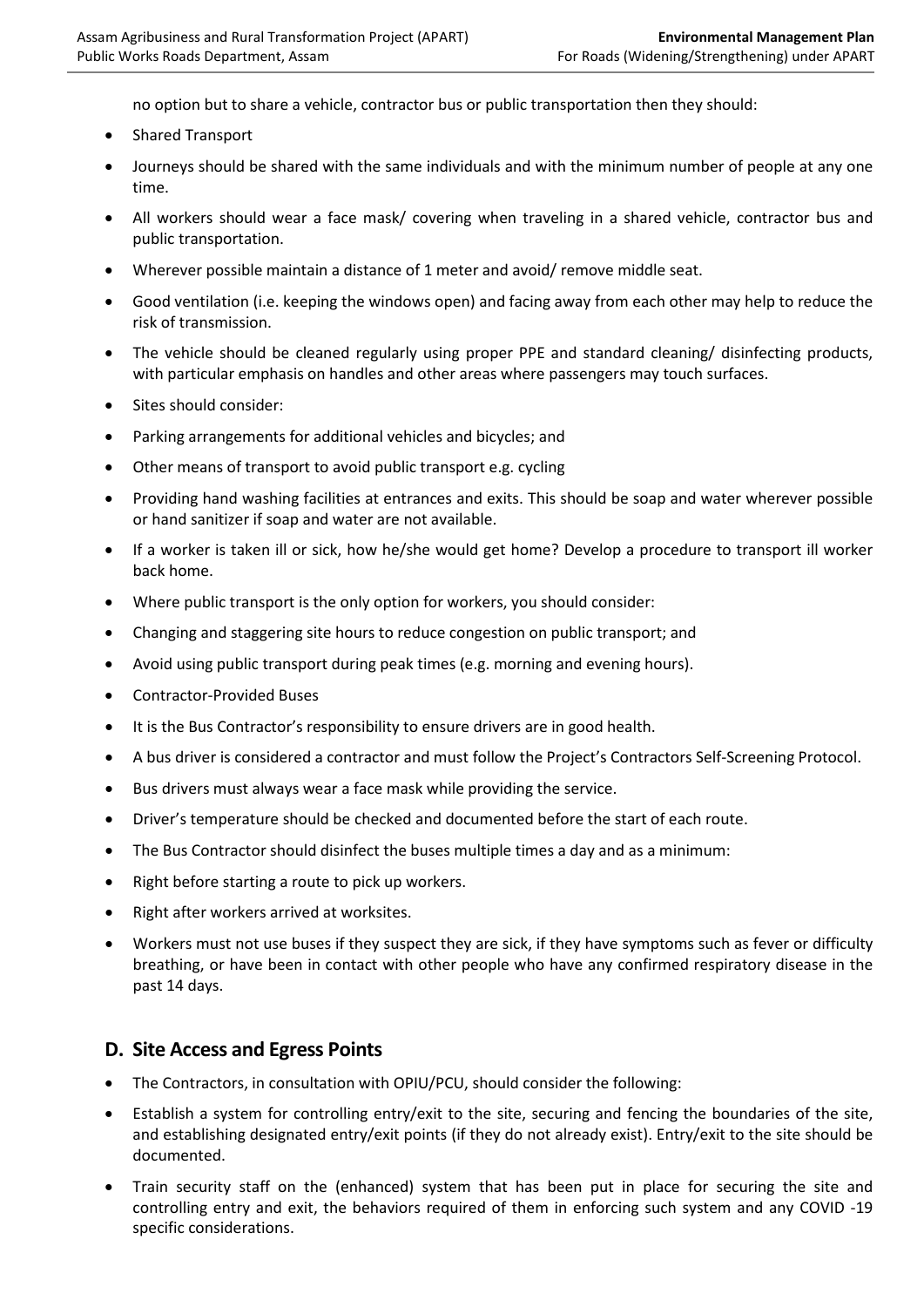no option but to share a vehicle, contractor bus or public transportation then they should:

- Shared Transport
- Journeys should be shared with the same individuals and with the minimum number of people at any one time.
- All workers should wear a face mask/ covering when traveling in a shared vehicle, contractor bus and public transportation.
- Wherever possible maintain a distance of 1 meter and avoid/ remove middle seat.
- Good ventilation (i.e. keeping the windows open) and facing away from each other may help to reduce the risk of transmission.
- The vehicle should be cleaned regularly using proper PPE and standard cleaning/ disinfecting products, with particular emphasis on handles and other areas where passengers may touch surfaces.
- Sites should consider:
- Parking arrangements for additional vehicles and bicycles; and
- Other means of transport to avoid public transport e.g. cycling
- Providing hand washing facilities at entrances and exits. This should be soap and water wherever possible or hand sanitizer if soap and water are not available.
- If a worker is taken ill or sick, how he/she would get home? Develop a procedure to transport ill worker back home.
- Where public transport is the only option for workers, you should consider:
- Changing and staggering site hours to reduce congestion on public transport; and
- Avoid using public transport during peak times (e.g. morning and evening hours).
- Contractor-Provided Buses
- It is the Bus Contractor's responsibility to ensure drivers are in good health.
- A bus driver is considered a contractor and must follow the Project's Contractors Self-Screening Protocol.
- Bus drivers must always wear a face mask while providing the service.
- Driver's temperature should be checked and documented before the start of each route.
- The Bus Contractor should disinfect the buses multiple times a day and as a minimum:
- Right before starting a route to pick up workers.
- Right after workers arrived at worksites.
- Workers must not use buses if they suspect they are sick, if they have symptoms such as fever or difficulty breathing, or have been in contact with other people who have any confirmed respiratory disease in the past 14 days.

### **D. Site Access and Egress Points**

- The Contractors, in consultation with OPIU/PCU, should consider the following:
- Establish a system for controlling entry/exit to the site, securing and fencing the boundaries of the site, and establishing designated entry/exit points (if they do not already exist). Entry/exit to the site should be documented.
- Train security staff on the (enhanced) system that has been put in place for securing the site and controlling entry and exit, the behaviors required of them in enforcing such system and any COVID -19 specific considerations.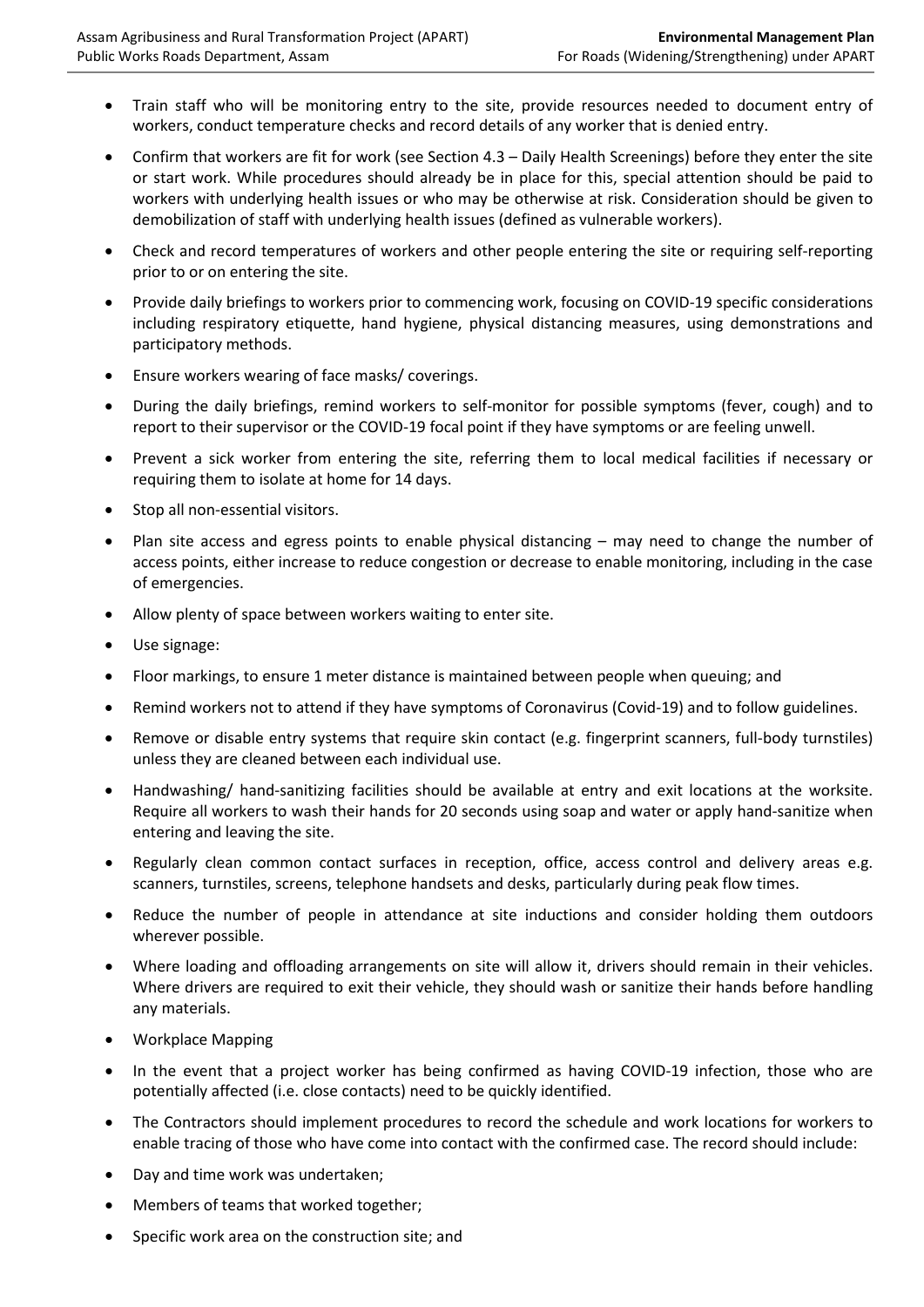- Train staff who will be monitoring entry to the site, provide resources needed to document entry of workers, conduct temperature checks and record details of any worker that is denied entry.
- Confirm that workers are fit for work (see Section 4.3 Daily Health Screenings) before they enter the site or start work. While procedures should already be in place for this, special attention should be paid to workers with underlying health issues or who may be otherwise at risk. Consideration should be given to demobilization of staff with underlying health issues (defined as vulnerable workers).
- Check and record temperatures of workers and other people entering the site or requiring self-reporting prior to or on entering the site.
- Provide daily briefings to workers prior to commencing work, focusing on COVID-19 specific considerations including respiratory etiquette, hand hygiene, physical distancing measures, using demonstrations and participatory methods.
- Ensure workers wearing of face masks/ coverings.
- During the daily briefings, remind workers to self-monitor for possible symptoms (fever, cough) and to report to their supervisor or the COVID-19 focal point if they have symptoms or are feeling unwell.
- Prevent a sick worker from entering the site, referring them to local medical facilities if necessary or requiring them to isolate at home for 14 days.
- Stop all non-essential visitors.
- Plan site access and egress points to enable physical distancing may need to change the number of access points, either increase to reduce congestion or decrease to enable monitoring, including in the case of emergencies.
- Allow plenty of space between workers waiting to enter site.
- Use signage:
- Floor markings, to ensure 1 meter distance is maintained between people when queuing; and
- Remind workers not to attend if they have symptoms of Coronavirus (Covid-19) and to follow guidelines.
- Remove or disable entry systems that require skin contact (e.g. fingerprint scanners, full-body turnstiles) unless they are cleaned between each individual use.
- Handwashing/ hand-sanitizing facilities should be available at entry and exit locations at the worksite. Require all workers to wash their hands for 20 seconds using soap and water or apply hand-sanitize when entering and leaving the site.
- Regularly clean common contact surfaces in reception, office, access control and delivery areas e.g. scanners, turnstiles, screens, telephone handsets and desks, particularly during peak flow times.
- Reduce the number of people in attendance at site inductions and consider holding them outdoors wherever possible.
- Where loading and offloading arrangements on site will allow it, drivers should remain in their vehicles. Where drivers are required to exit their vehicle, they should wash or sanitize their hands before handling any materials.
- Workplace Mapping
- In the event that a project worker has being confirmed as having COVID-19 infection, those who are potentially affected (i.e. close contacts) need to be quickly identified.
- The Contractors should implement procedures to record the schedule and work locations for workers to enable tracing of those who have come into contact with the confirmed case. The record should include:
- Day and time work was undertaken;
- Members of teams that worked together;
- Specific work area on the construction site; and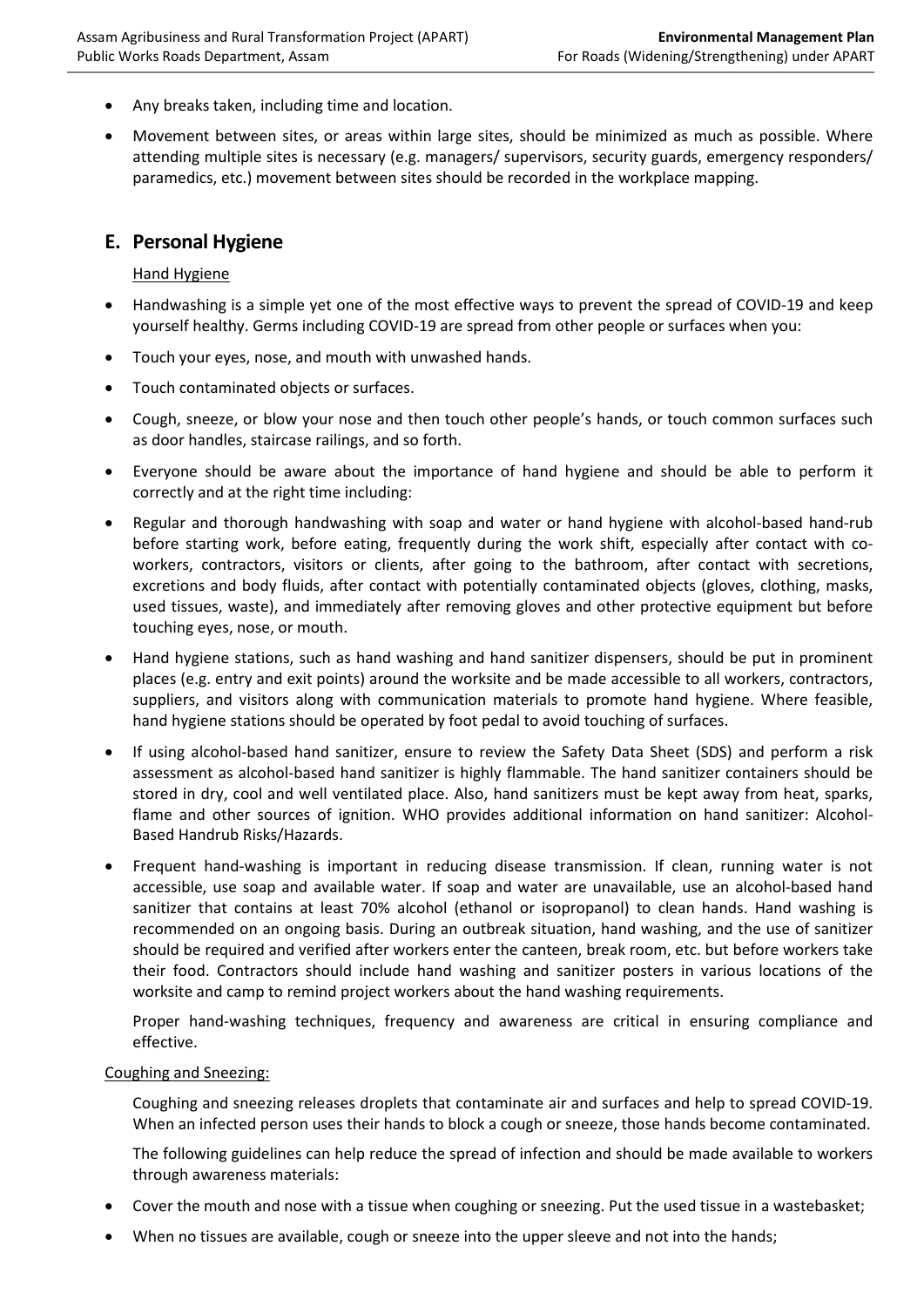- Any breaks taken, including time and location.
- Movement between sites, or areas within large sites, should be minimized as much as possible. Where attending multiple sites is necessary (e.g. managers/ supervisors, security guards, emergency responders/ paramedics, etc.) movement between sites should be recorded in the workplace mapping.

### **E. Personal Hygiene**

#### **Hand Hygiene**

- Handwashing is a simple yet one of the most effective ways to prevent the spread of COVID-19 and keep yourself healthy. Germs including COVID-19 are spread from other people or surfaces when you:
- Touch your eyes, nose, and mouth with unwashed hands.
- Touch contaminated objects or surfaces.
- Cough, sneeze, or blow your nose and then touch other people's hands, or touch common surfaces such as door handles, staircase railings, and so forth.
- Everyone should be aware about the importance of hand hygiene and should be able to perform it correctly and at the right time including:
- Regular and thorough handwashing with soap and water or hand hygiene with alcohol-based hand-rub before starting work, before eating, frequently during the work shift, especially after contact with coworkers, contractors, visitors or clients, after going to the bathroom, after contact with secretions, excretions and body fluids, after contact with potentially contaminated objects (gloves, clothing, masks, used tissues, waste), and immediately after removing gloves and other protective equipment but before touching eyes, nose, or mouth.
- Hand hygiene stations, such as hand washing and hand sanitizer dispensers, should be put in prominent places (e.g. entry and exit points) around the worksite and be made accessible to all workers, contractors, suppliers, and visitors along with communication materials to promote hand hygiene. Where feasible, hand hygiene stations should be operated by foot pedal to avoid touching of surfaces.
- If using alcohol-based hand sanitizer, ensure to review the Safety Data Sheet (SDS) and perform a risk assessment as alcohol-based hand sanitizer is highly flammable. The hand sanitizer containers should be stored in dry, cool and well ventilated place. Also, hand sanitizers must be kept away from heat, sparks, flame and other sources of ignition. WHO provides additional information on hand sanitizer: [Alcohol-](https://www.who.int/gpsc/tools/faqs/abhr2/en/)[Based Handrub Risks/Hazards.](https://www.who.int/gpsc/tools/faqs/abhr2/en/)
- Frequent hand-washing is important in reducing disease transmission. If clean, running water is not accessible, use soap and available water. If soap and water are unavailable, use an alcohol-based hand sanitizer that contains at least 70% alcohol (ethanol or isopropanol) to clean hands. Hand washing is recommended on an ongoing basis. During an outbreak situation, hand washing, and the use of sanitizer should be required and verified after workers enter the canteen, break room, etc. but before workers take their food. Contractors should include hand washing and sanitizer posters in various locations of the worksite and camp to remind project workers about the hand washing requirements.

Proper hand-washing techniques, frequency and awareness are critical in ensuring compliance and effective.

#### Coughing and Sneezing:

Coughing and sneezing releases droplets that contaminate air and surfaces and help to spread COVID-19. When an infected person uses their hands to block a cough or sneeze, those hands become contaminated.

The following guidelines can help reduce the spread of infection and should be made available to workers through awareness materials:

- Cover the mouth and nose with a tissue when coughing or sneezing. Put the used tissue in a wastebasket;
- When no tissues are available, cough or sneeze into the upper sleeve and not into the hands;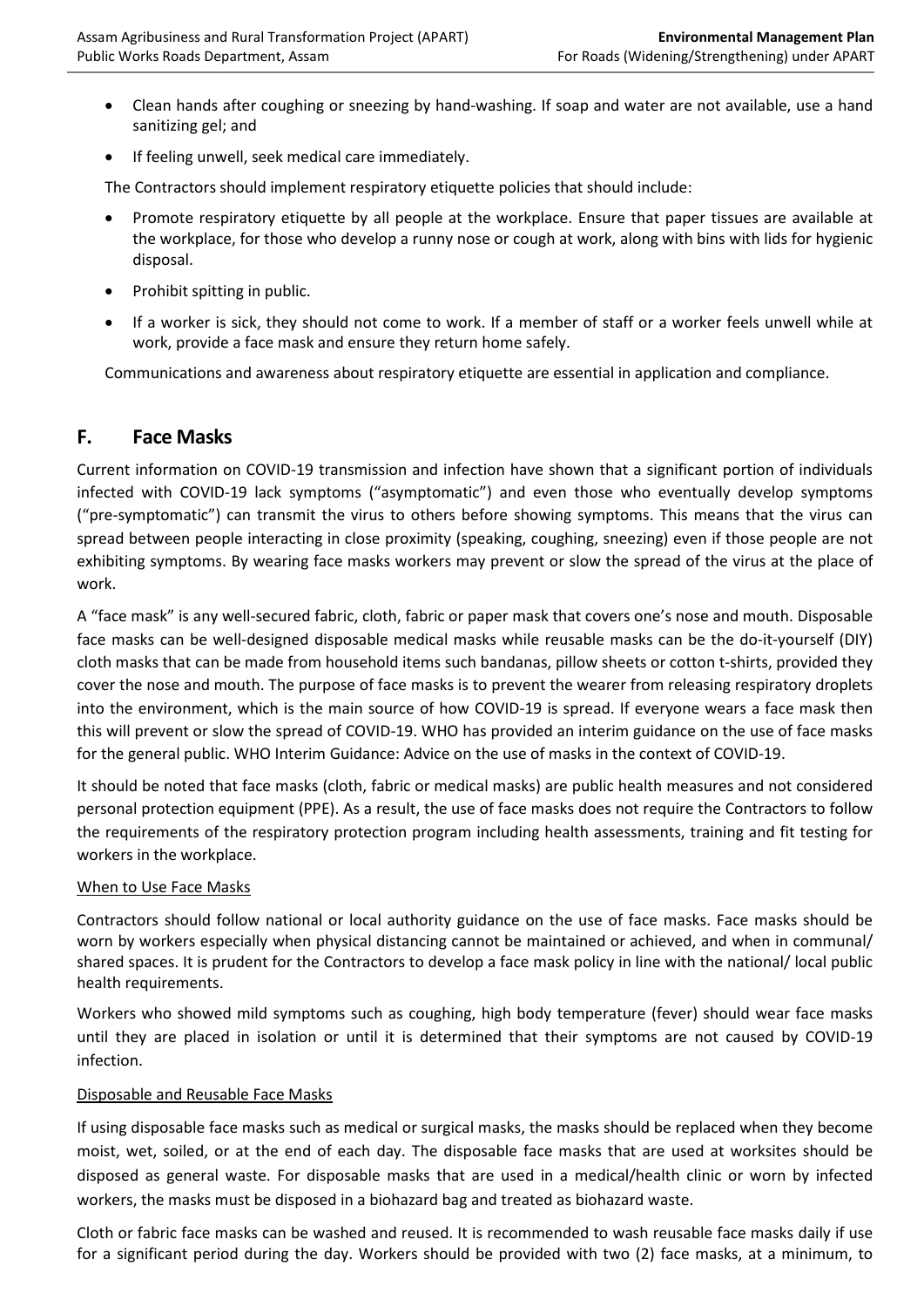- Clean hands after coughing or sneezing by hand-washing. If soap and water are not available, use a hand sanitizing gel; and
- If feeling unwell, seek medical care immediately.

The Contractors should implement respiratory etiquette policies that should include:

- Promote respiratory etiquette by all people at the workplace. Ensure that paper tissues are available at the workplace, for those who develop a runny nose or cough at work, along with bins with lids for hygienic disposal.
- Prohibit spitting in public.
- If a worker is sick, they should not come to work. If a member of staff or a worker feels unwell while at work, provide a face mask and ensure they return home safely.

Communications and awareness about respiratory etiquette are essential in application and compliance.

## **F. Face Masks**

Current information on COVID-19 transmission and infection have shown that a significant portion of individuals infected with COVID-19 lack symptoms ("asymptomatic") and even those who eventually develop symptoms ("pre-symptomatic") can transmit the virus to others before showing symptoms. This means that the virus can spread between people interacting in close proximity (speaking, coughing, sneezing) even if those people are not exhibiting symptoms. By wearing face masks workers may prevent or slow the spread of the virus at the place of work.

A "face mask" is any well-secured fabric, cloth, fabric or paper mask that covers one's nose and mouth. Disposable face masks can be well-designed disposable medical masks while reusable masks can be the do-it-yourself (DIY) cloth masks that can be made from household items such bandanas, pillow sheets or cotton t-shirts, provided they cover the nose and mouth. The purpose of face masks is to prevent the wearer from releasing respiratory droplets into the environment, which is the main source of how COVID-19 is spread. If everyone wears a face mask then this will prevent or slow the spread of COVID-19. WHO has provided an interim guidance on the use of face masks for the general public. WHO Interim Guidance: [Advice on the use of masks in the context of COVID-19.](https://www.who.int/publications/i/item/advice-on-the-use-of-masks-in-the-community-during-home-care-and-in-healthcare-settings-in-the-context-of-the-novel-coronavirus-(2019-ncov)-outbreak)

It should be noted that face masks (cloth, fabric or medical masks) are public health measures and not considered personal protection equipment (PPE). As a result, the use of face masks does not require the Contractors to follow the requirements of the respiratory protection program including health assessments, training and fit testing for workers in the workplace.

### When to Use Face Masks

Contractors should follow national or local authority guidance on the use of face masks. Face masks should be worn by workers especially when physical distancing cannot be maintained or achieved, and when in communal/ shared spaces. It is prudent for the Contractors to develop a face mask policy in line with the national/ local public health requirements.

Workers who showed mild symptoms such as coughing, high body temperature (fever) should wear face masks until they are placed in isolation or until it is determined that their symptoms are not caused by COVID-19 infection.

#### Disposable and Reusable Face Masks

If using disposable face masks such as medical or surgical masks, the masks should be replaced when they become moist, wet, soiled, or at the end of each day. The disposable face masks that are used at worksites should be disposed as general waste. For disposable masks that are used in a medical/health clinic or worn by infected workers, the masks must be disposed in a biohazard bag and treated as biohazard waste.

Cloth or fabric face masks can be washed and reused. It is recommended to wash reusable face masks daily if use for a significant period during the day. Workers should be provided with two (2) face masks, at a minimum, to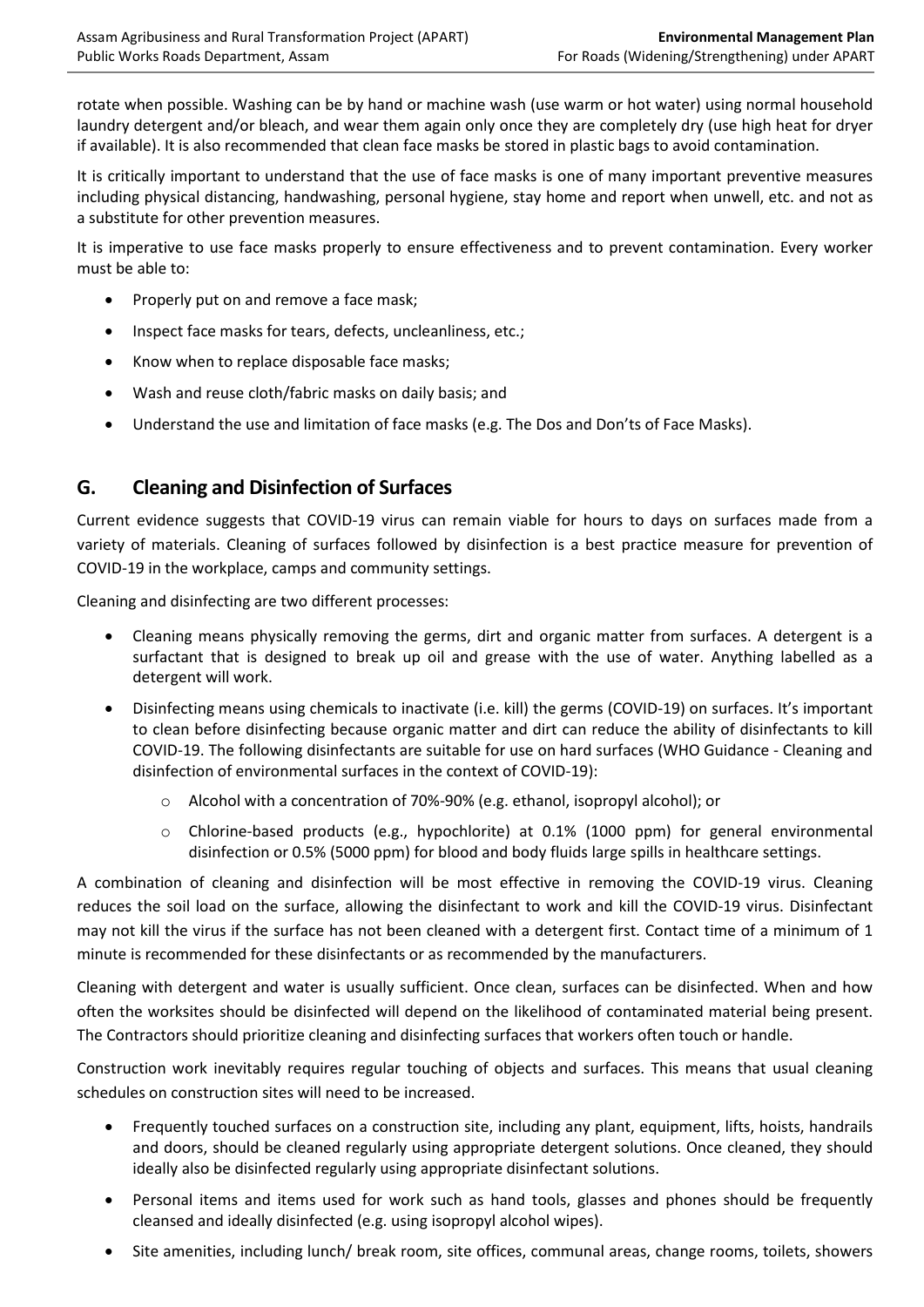rotate when possible. Washing can be by hand or machine wash (use warm or hot water) using normal household laundry detergent and/or bleach, and wear them again only once they are completely dry (use high heat for dryer if available). It is also recommended that clean face masks be stored in plastic bags to avoid contamination.

It is critically important to understand that the use of face masks is one of many important preventive measures including physical distancing, handwashing, personal hygiene, stay home and report when unwell, etc. and not as a substitute for other prevention measures.

It is imperative to use face masks properly to ensure effectiveness and to prevent contamination. Every worker must be able to:

- Properly put on and remove a face mask;
- Inspect face masks for tears, defects, uncleanliness, etc.;
- Know when to replace disposable face masks;
- Wash and reuse cloth/fabric masks on daily basis; and
- Understand the use and limitation of face masks (e.g. The Dos and Don'ts of Face Masks).

## **G. Cleaning and Disinfection of Surfaces**

Current evidence suggests that COVID-19 virus can remain viable for hours to days on surfaces made from a variety of materials. Cleaning of surfaces followed by disinfection is a best practice measure for prevention of COVID-19 in the workplace, camps and community settings.

Cleaning and disinfecting are two different processes:

- Cleaning means physically removing the germs, dirt and organic matter from surfaces. A detergent is a surfactant that is designed to break up oil and grease with the use of water. Anything labelled as a detergent will work.
- Disinfecting means using chemicals to inactivate (i.e. kill) the germs (COVID-19) on surfaces. It's important to clean before disinfecting because organic matter and dirt can reduce the ability of disinfectants to kill COVID-19. The following disinfectants are suitable for use on hard surfaces (WHO Guidance - [Cleaning and](https://www.who.int/publications/i/item/cleaning-and-disinfection-of-environmental-surfaces-inthe-context-of-covid-19)  [disinfection of environmental surfaces in the context of COVID-19\)](https://www.who.int/publications/i/item/cleaning-and-disinfection-of-environmental-surfaces-inthe-context-of-covid-19):
	- o Alcohol with a concentration of 70%-90% (e.g. ethanol, isopropyl alcohol); or
	- $\circ$  Chlorine-based products (e.g., hypochlorite) at 0.1% (1000 ppm) for general environmental disinfection or 0.5% (5000 ppm) for blood and body fluids large spills in healthcare settings.

A combination of cleaning and disinfection will be most effective in removing the COVID-19 virus. Cleaning reduces the soil load on the surface, allowing the disinfectant to work and kill the COVID-19 virus. Disinfectant may not kill the virus if the surface has not been cleaned with a detergent first. Contact time of a minimum of 1 minute is recommended for these disinfectants or as recommended by the manufacturers.

Cleaning with detergent and water is usually sufficient. Once clean, surfaces can be disinfected. When and how often the worksites should be disinfected will depend on the likelihood of contaminated material being present. The Contractors should prioritize cleaning and disinfecting surfaces that workers often touch or handle.

Construction work inevitably requires regular touching of objects and surfaces. This means that usual cleaning schedules on construction sites will need to be increased.

- Frequently touched surfaces on a construction site, including any plant, equipment, lifts, hoists, handrails and doors, should be cleaned regularly using appropriate detergent solutions. Once cleaned, they should ideally also be disinfected regularly using appropriate disinfectant solutions.
- Personal items and items used for work such as hand tools, glasses and phones should be frequently cleansed and ideally disinfected (e.g. using isopropyl alcohol wipes).
- Site amenities, including lunch/ break room, site offices, communal areas, change rooms, toilets, showers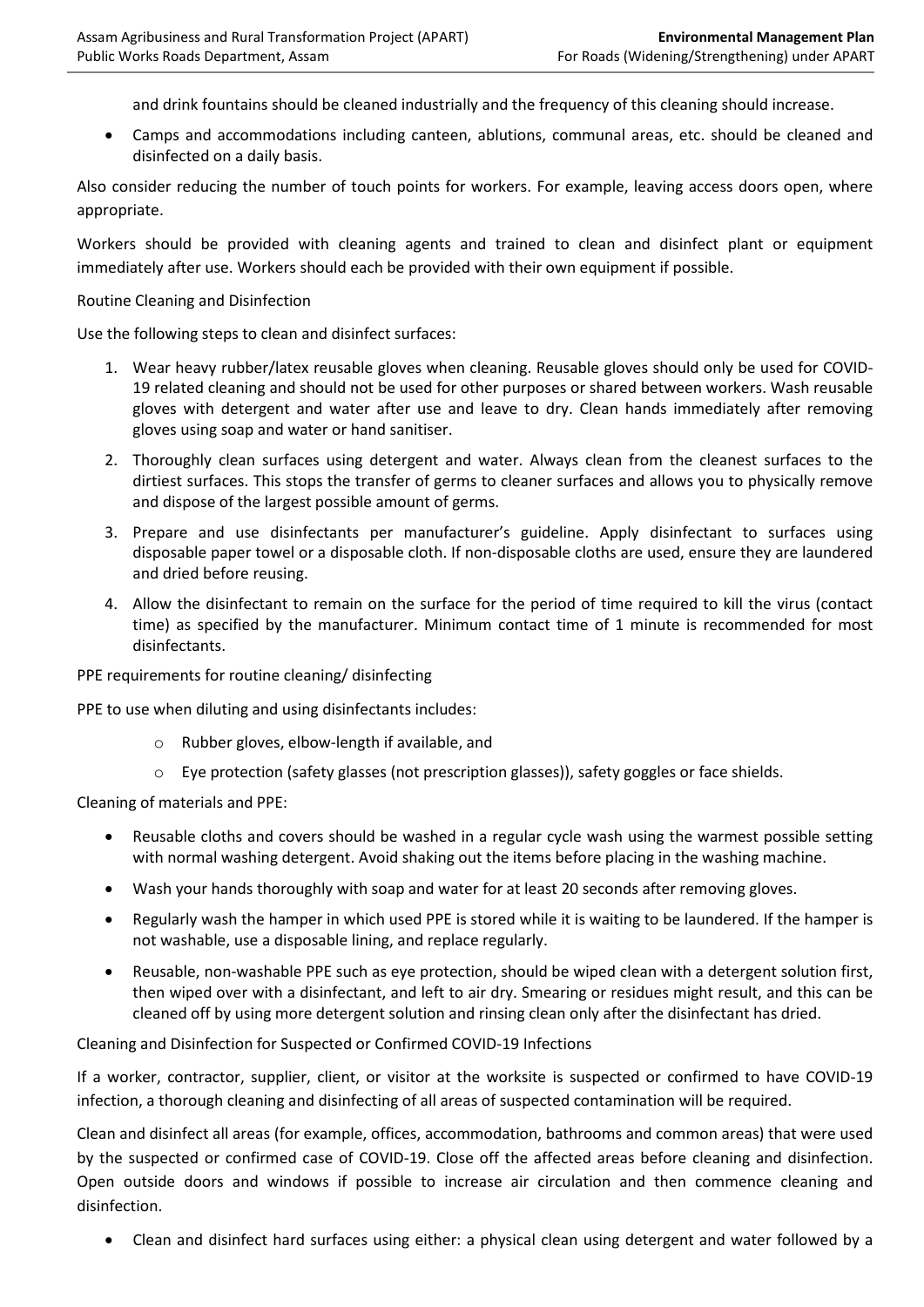and drink fountains should be cleaned industrially and the frequency of this cleaning should increase.

• Camps and accommodations including canteen, ablutions, communal areas, etc. should be cleaned and disinfected on a daily basis.

Also consider reducing the number of touch points for workers. For example, leaving access doors open, where appropriate.

Workers should be provided with cleaning agents and trained to clean and disinfect plant or equipment immediately after use. Workers should each be provided with their own equipment if possible.

#### Routine Cleaning and Disinfection

Use the following steps to clean and disinfect surfaces:

- 1. Wear heavy rubber/latex reusable gloves when cleaning. Reusable gloves should only be used for COVID-19 related cleaning and should not be used for other purposes or shared between workers. Wash reusable gloves with detergent and water after use and leave to dry. Clean hands immediately after removing gloves using soap and water or hand sanitiser.
- 2. Thoroughly clean surfaces using detergent and water. Always clean from the cleanest surfaces to the dirtiest surfaces. This stops the transfer of germs to cleaner surfaces and allows you to physically remove and dispose of the largest possible amount of germs.
- 3. Prepare and use disinfectants per manufacturer's guideline. Apply disinfectant to surfaces using disposable paper towel or a disposable cloth. If non-disposable cloths are used, ensure they are laundered and dried before reusing.
- 4. Allow the disinfectant to remain on the surface for the period of time required to kill the virus (contact time) as specified by the manufacturer. Minimum contact time of 1 minute is recommended for most disinfectants.

PPE requirements for routine cleaning/ disinfecting

PPE to use when diluting and using disinfectants includes:

- o Rubber gloves, elbow-length if available, and
- o Eye protection (safety glasses (not prescription glasses)), safety goggles or face shields.

Cleaning of materials and PPE:

- Reusable cloths and covers should be washed in a regular cycle wash using the warmest possible setting with normal washing detergent. Avoid shaking out the items before placing in the washing machine.
- Wash your hands thoroughly with soap and water for at least 20 seconds after removing gloves.
- Regularly wash the hamper in which used PPE is stored while it is waiting to be laundered. If the hamper is not washable, use a disposable lining, and replace regularly.
- Reusable, non-washable PPE such as eye protection, should be wiped clean with a detergent solution first, then wiped over with a disinfectant, and left to air dry. Smearing or residues might result, and this can be cleaned off by using more detergent solution and rinsing clean only after the disinfectant has dried.

Cleaning and Disinfection for Suspected or Confirmed COVID-19 Infections

If a worker, contractor, supplier, client, or visitor at the worksite is suspected or confirmed to have COVID-19 infection, a thorough cleaning and disinfecting of all areas of suspected contamination will be required.

Clean and disinfect all areas (for example, offices, accommodation, bathrooms and common areas) that were used by the suspected or confirmed case of COVID-19. Close off the affected areas before cleaning and disinfection. Open outside doors and windows if possible to increase air circulation and then commence cleaning and disinfection.

• Clean and disinfect hard surfaces using either: a physical clean using detergent and water followed by a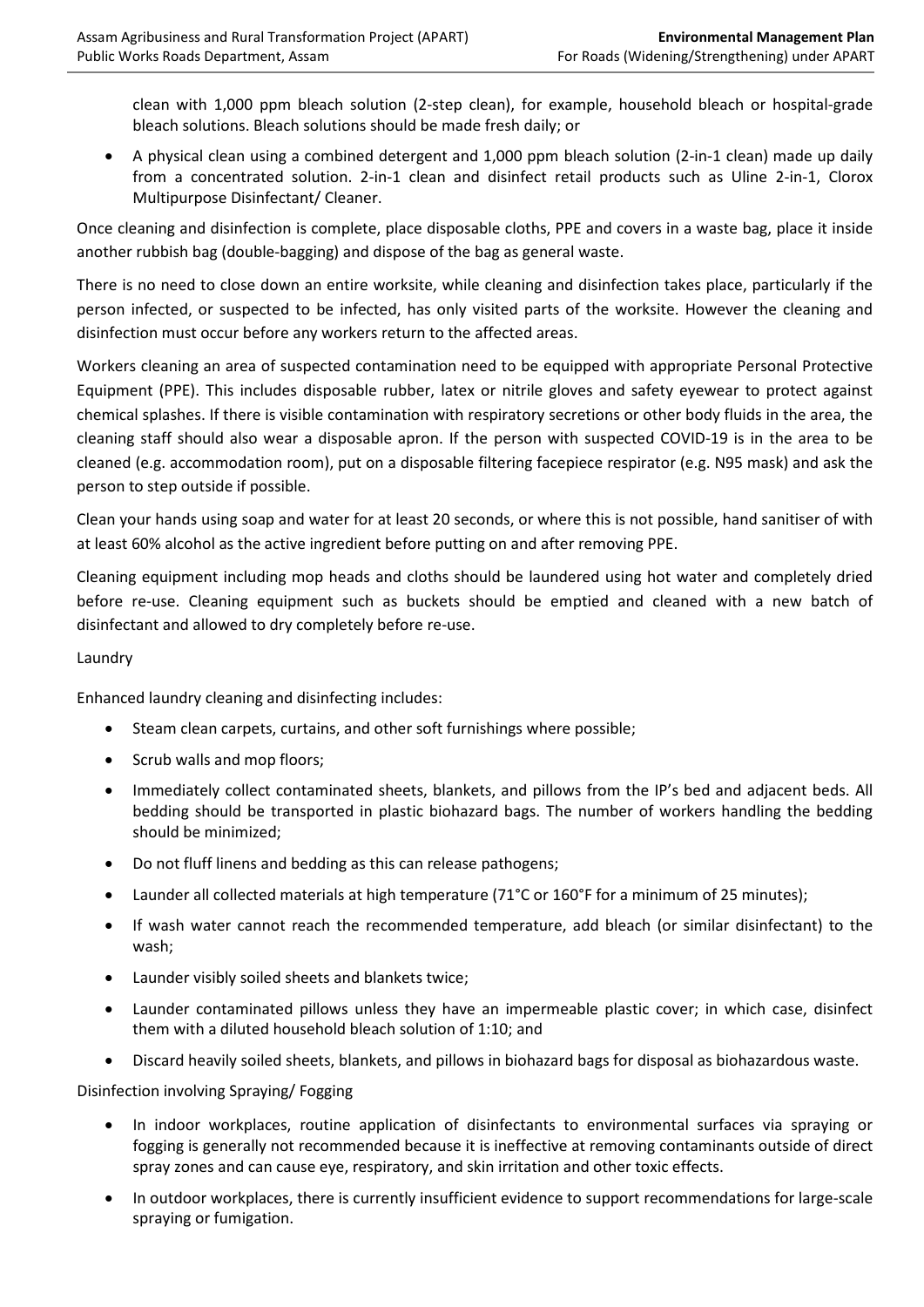clean with 1,000 ppm bleach solution (2-step clean), for example, household bleach or hospital-grade bleach solutions. Bleach solutions should be made fresh daily; or

• A physical clean using a combined detergent and 1,000 ppm bleach solution (2-in-1 clean) made up daily from a concentrated solution. 2-in-1 clean and disinfect retail products such as Uline 2-in-1, Clorox Multipurpose Disinfectant/ Cleaner.

Once cleaning and disinfection is complete, place disposable cloths, PPE and covers in a waste bag, place it inside another rubbish bag (double-bagging) and dispose of the bag as general waste.

There is no need to close down an entire worksite, while cleaning and disinfection takes place, particularly if the person infected, or suspected to be infected, has only visited parts of the worksite. However the cleaning and disinfection must occur before any workers return to the affected areas.

Workers cleaning an area of suspected contamination need to be equipped with appropriate Personal Protective Equipment (PPE). This includes disposable rubber, latex or nitrile gloves and safety eyewear to protect against chemical splashes. If there is visible contamination with respiratory secretions or other body fluids in the area, the cleaning staff should also wear a disposable apron. If the person with suspected COVID-19 is in the area to be cleaned (e.g. accommodation room), put on a disposable filtering facepiece respirator (e.g. N95 mask) and ask the person to step outside if possible.

Clean your hands using soap and water for at least 20 seconds, or where this is not possible, hand sanitiser of with at least 60% alcohol as the active ingredient before putting on and after removing PPE.

Cleaning equipment including mop heads and cloths should be laundered using hot water and completely dried before re-use. Cleaning equipment such as buckets should be emptied and cleaned with a new batch of disinfectant and allowed to dry completely before re-use.

#### Laundry

Enhanced laundry cleaning and disinfecting includes:

- Steam clean carpets, curtains, and other soft furnishings where possible;
- Scrub walls and mop floors;
- Immediately collect contaminated sheets, blankets, and pillows from the IP's bed and adjacent beds. All bedding should be transported in plastic biohazard bags. The number of workers handling the bedding should be minimized;
- Do not fluff linens and bedding as this can release pathogens;
- Launder all collected materials at high temperature (71°C or 160°F for a minimum of 25 minutes);
- If wash water cannot reach the recommended temperature, add bleach (or similar disinfectant) to the wash;
- Launder visibly soiled sheets and blankets twice;
- Launder contaminated pillows unless they have an impermeable plastic cover; in which case, disinfect them with a diluted household bleach solution of 1:10; and
- Discard heavily soiled sheets, blankets, and pillows in biohazard bags for disposal as biohazardous waste.

Disinfection involving Spraying/ Fogging

- In indoor workplaces, routine application of disinfectants to environmental surfaces via spraying or fogging is generally not recommended because it is ineffective at removing contaminants outside of direct spray zones and can cause eye, respiratory, and skin irritation and other toxic effects.
- In outdoor workplaces, there is currently insufficient evidence to support recommendations for large-scale spraying or fumigation.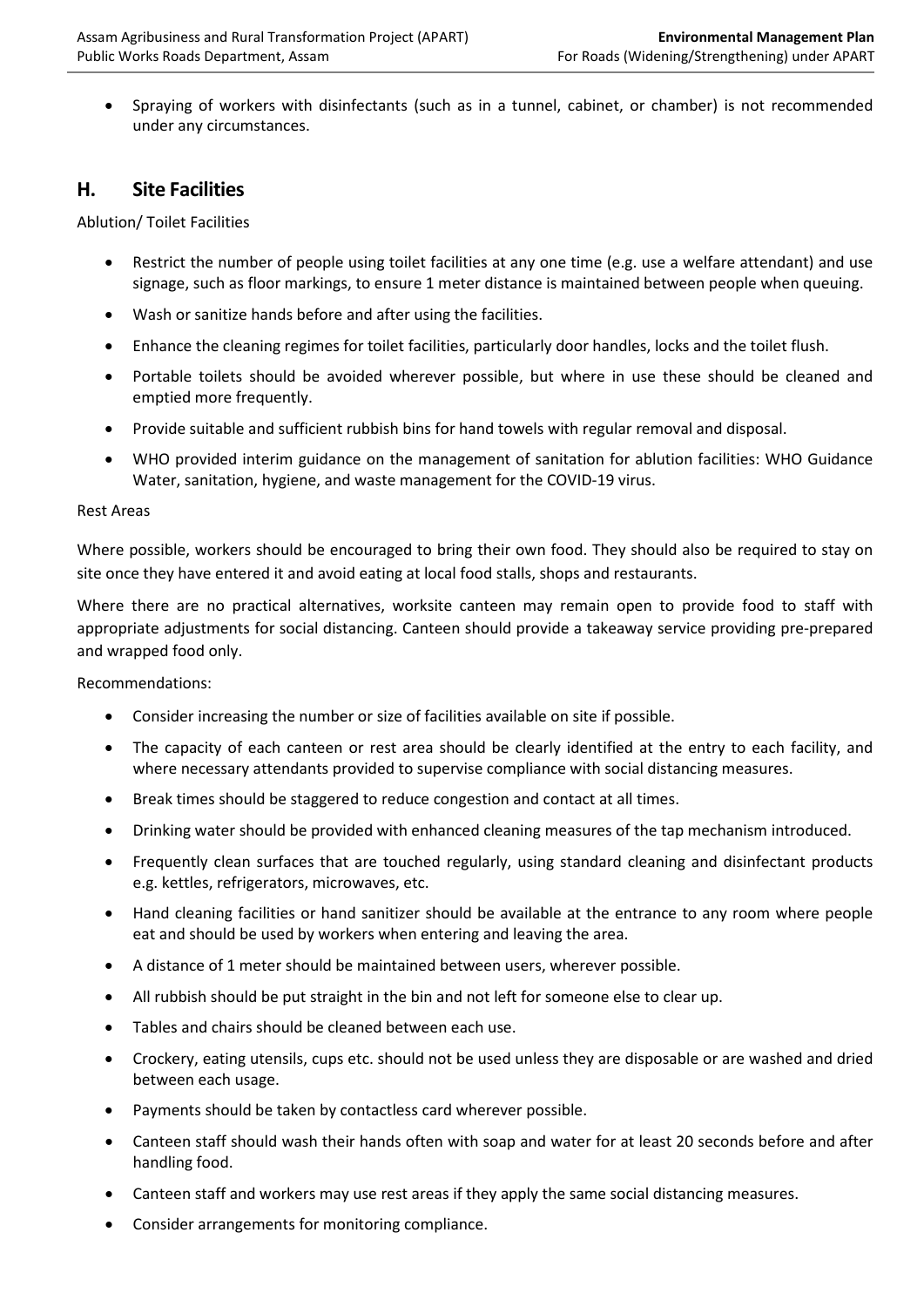• Spraying of workers with disinfectants (such as in a tunnel, cabinet, or chamber) is not recommended under any circumstances.

### **H. Site Facilities**

Ablution/ Toilet Facilities

- Restrict the number of people using toilet facilities at any one time (e.g. use a welfare attendant) and use signage, such as floor markings, to ensure 1 meter distance is maintained between people when queuing.
- Wash or sanitize hands before and after using the facilities.
- Enhance the cleaning regimes for toilet facilities, particularly door handles, locks and the toilet flush.
- Portable toilets should be avoided wherever possible, but where in use these should be cleaned and emptied more frequently.
- Provide suitable and sufficient rubbish bins for hand towels with regular removal and disposal.
- WHO provided interim guidance on the management of sanitation for ablution facilities: WHO Guidance [Water, sanitation, hygiene, and waste management for the COVID-19 virus.](https://www.who.int/publications/i/item/water-sanitation-hygiene-and-waste-management-for-the-covid-19-virus-interim-guidance)

#### Rest Areas

Where possible, workers should be encouraged to bring their own food. They should also be required to stay on site once they have entered it and avoid eating at local food stalls, shops and restaurants.

Where there are no practical alternatives, worksite canteen may remain open to provide food to staff with appropriate adjustments for social distancing. Canteen should provide a takeaway service providing pre-prepared and wrapped food only.

Recommendations:

- Consider increasing the number or size of facilities available on site if possible.
- The capacity of each canteen or rest area should be clearly identified at the entry to each facility, and where necessary attendants provided to supervise compliance with social distancing measures.
- Break times should be staggered to reduce congestion and contact at all times.
- Drinking water should be provided with enhanced cleaning measures of the tap mechanism introduced.
- Frequently clean surfaces that are touched regularly, using standard cleaning and disinfectant products e.g. kettles, refrigerators, microwaves, etc.
- Hand cleaning facilities or hand sanitizer should be available at the entrance to any room where people eat and should be used by workers when entering and leaving the area.
- A distance of 1 meter should be maintained between users, wherever possible.
- All rubbish should be put straight in the bin and not left for someone else to clear up.
- Tables and chairs should be cleaned between each use.
- Crockery, eating utensils, cups etc. should not be used unless they are disposable or are washed and dried between each usage.
- Payments should be taken by contactless card wherever possible.
- Canteen staff should wash their hands often with soap and water for at least 20 seconds before and after handling food.
- Canteen staff and workers may use rest areas if they apply the same social distancing measures.
- Consider arrangements for monitoring compliance.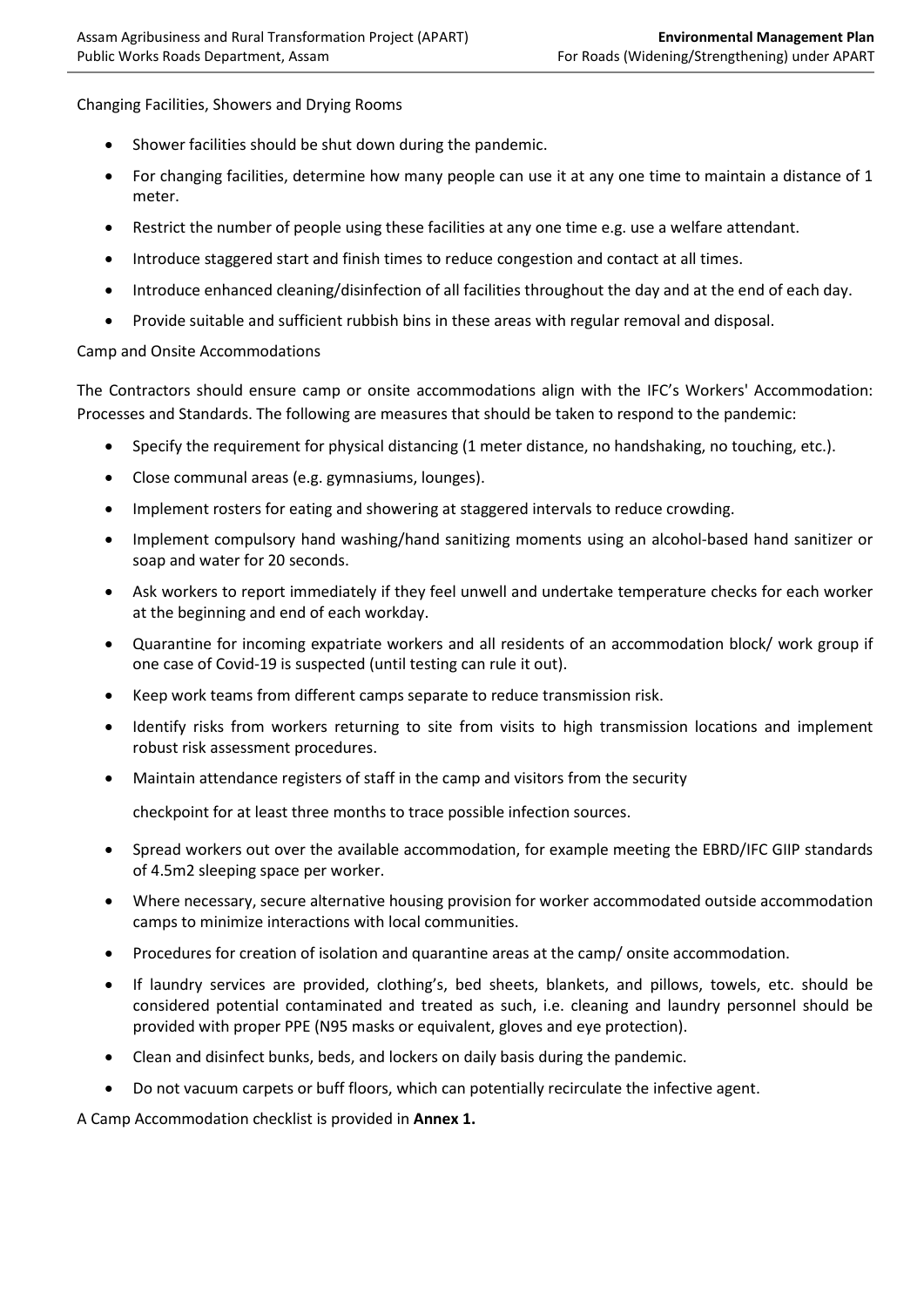Changing Facilities, Showers and Drying Rooms

- Shower facilities should be shut down during the pandemic.
- For changing facilities, determine how many people can use it at any one time to maintain a distance of 1 meter.
- Restrict the number of people using these facilities at any one time e.g. use a welfare attendant.
- Introduce staggered start and finish times to reduce congestion and contact at all times.
- Introduce enhanced cleaning/disinfection of all facilities throughout the day and at the end of each day.
- Provide suitable and sufficient rubbish bins in these areas with regular removal and disposal.

#### Camp and Onsite Accommodations

The Contractors should ensure camp or onsite accommodations align with the IFC's [Workers' Accommodation:](https://www.ifc.org/wps/wcm/connect/topics_ext_content/ifc_external_corporate_site/sustainability-at-ifc/publications/publications_gpn_workersaccommodation)  [Processes and Standards.](https://www.ifc.org/wps/wcm/connect/topics_ext_content/ifc_external_corporate_site/sustainability-at-ifc/publications/publications_gpn_workersaccommodation) The following are measures that should be taken to respond to the pandemic:

- Specify the requirement for physical distancing (1 meter distance, no handshaking, no touching, etc.).
- Close communal areas (e.g. gymnasiums, lounges).
- Implement rosters for eating and showering at staggered intervals to reduce crowding.
- Implement compulsory hand washing/hand sanitizing moments using an alcohol-based hand sanitizer or soap and water for 20 seconds.
- Ask workers to report immediately if they feel unwell and undertake temperature checks for each worker at the beginning and end of each workday.
- Quarantine for incoming expatriate workers and all residents of an accommodation block/ work group if one case of Covid-19 is suspected (until testing can rule it out).
- Keep work teams from different camps separate to reduce transmission risk.
- Identify risks from workers returning to site from visits to high transmission locations and implement robust risk assessment procedures.
- Maintain attendance registers of staff in the camp and visitors from the security

checkpoint for at least three months to trace possible infection sources.

- Spread workers out over the available accommodation, for example meeting the EBRD/IFC GIIP standards of 4.5m2 sleeping space per worker.
- Where necessary, secure alternative housing provision for worker accommodated outside accommodation camps to minimize interactions with local communities.
- Procedures for creation of isolation and quarantine areas at the camp/ onsite accommodation.
- If laundry services are provided, clothing's, bed sheets, blankets, and pillows, towels, etc. should be considered potential contaminated and treated as such, i.e. cleaning and laundry personnel should be provided with proper PPE (N95 masks or equivalent, gloves and eye protection).
- Clean and disinfect bunks, beds, and lockers on daily basis during the pandemic.
- Do not vacuum carpets or buff floors, which can potentially recirculate the infective agent.

A Camp Accommodation checklist is provided in **Annex 1.**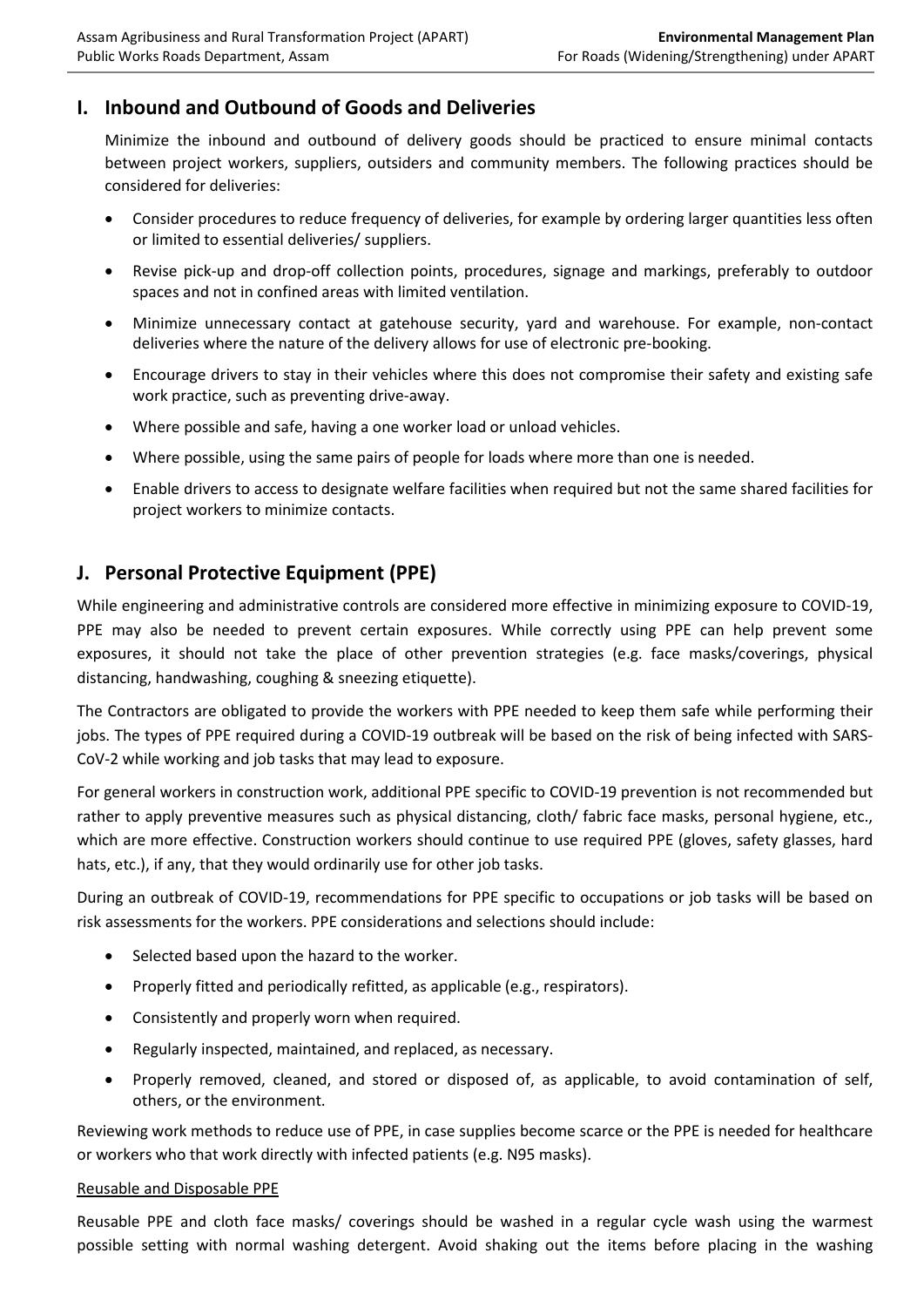## **I. Inbound and Outbound of Goods and Deliveries**

Minimize the inbound and outbound of delivery goods should be practiced to ensure minimal contacts between project workers, suppliers, outsiders and community members. The following practices should be considered for deliveries:

- Consider procedures to reduce frequency of deliveries, for example by ordering larger quantities less often or limited to essential deliveries/ suppliers.
- Revise pick-up and drop-off collection points, procedures, signage and markings, preferably to outdoor spaces and not in confined areas with limited ventilation.
- Minimize unnecessary contact at gatehouse security, yard and warehouse. For example, non-contact deliveries where the nature of the delivery allows for use of electronic pre-booking.
- Encourage drivers to stay in their vehicles where this does not compromise their safety and existing safe work practice, such as preventing drive-away.
- Where possible and safe, having a one worker load or unload vehicles.
- Where possible, using the same pairs of people for loads where more than one is needed.
- Enable drivers to access to designate welfare facilities when required but not the same shared facilities for project workers to minimize contacts.

## **J. Personal Protective Equipment (PPE)**

While engineering and administrative controls are considered more effective in minimizing exposure to COVID-19, PPE may also be needed to prevent certain exposures. While correctly using PPE can help prevent some exposures, it should not take the place of other prevention strategies (e.g. face masks/coverings, physical distancing, handwashing, coughing & sneezing etiquette).

The Contractors are obligated to provide the workers with PPE needed to keep them safe while performing their jobs. The types of PPE required during a COVID-19 outbreak will be based on the risk of being infected with SARS-CoV-2 while working and job tasks that may lead to exposure.

For general workers in construction work, additional PPE specific to COVID-19 prevention is not recommended but rather to apply preventive measures such as physical distancing, cloth/ fabric face masks, personal hygiene, etc., which are more effective. Construction workers should continue to use required PPE (gloves, safety glasses, hard hats, etc.), if any, that they would ordinarily use for other job tasks.

During an outbreak of COVID-19, recommendations for PPE specific to occupations or job tasks will be based on risk assessments for the workers. PPE considerations and selections should include:

- Selected based upon the hazard to the worker.
- Properly fitted and periodically refitted, as applicable (e.g., respirators).
- Consistently and properly worn when required.
- Regularly inspected, maintained, and replaced, as necessary.
- Properly removed, cleaned, and stored or disposed of, as applicable, to avoid contamination of self, others, or the environment.

Reviewing work methods to reduce use of PPE, in case supplies become scarce or the PPE is needed for healthcare or workers who that work directly with infected patients (e.g. N95 masks).

#### Reusable and Disposable PPE

Reusable PPE and cloth face masks/ coverings should be washed in a regular cycle wash using the warmest possible setting with normal washing detergent. Avoid shaking out the items before placing in the washing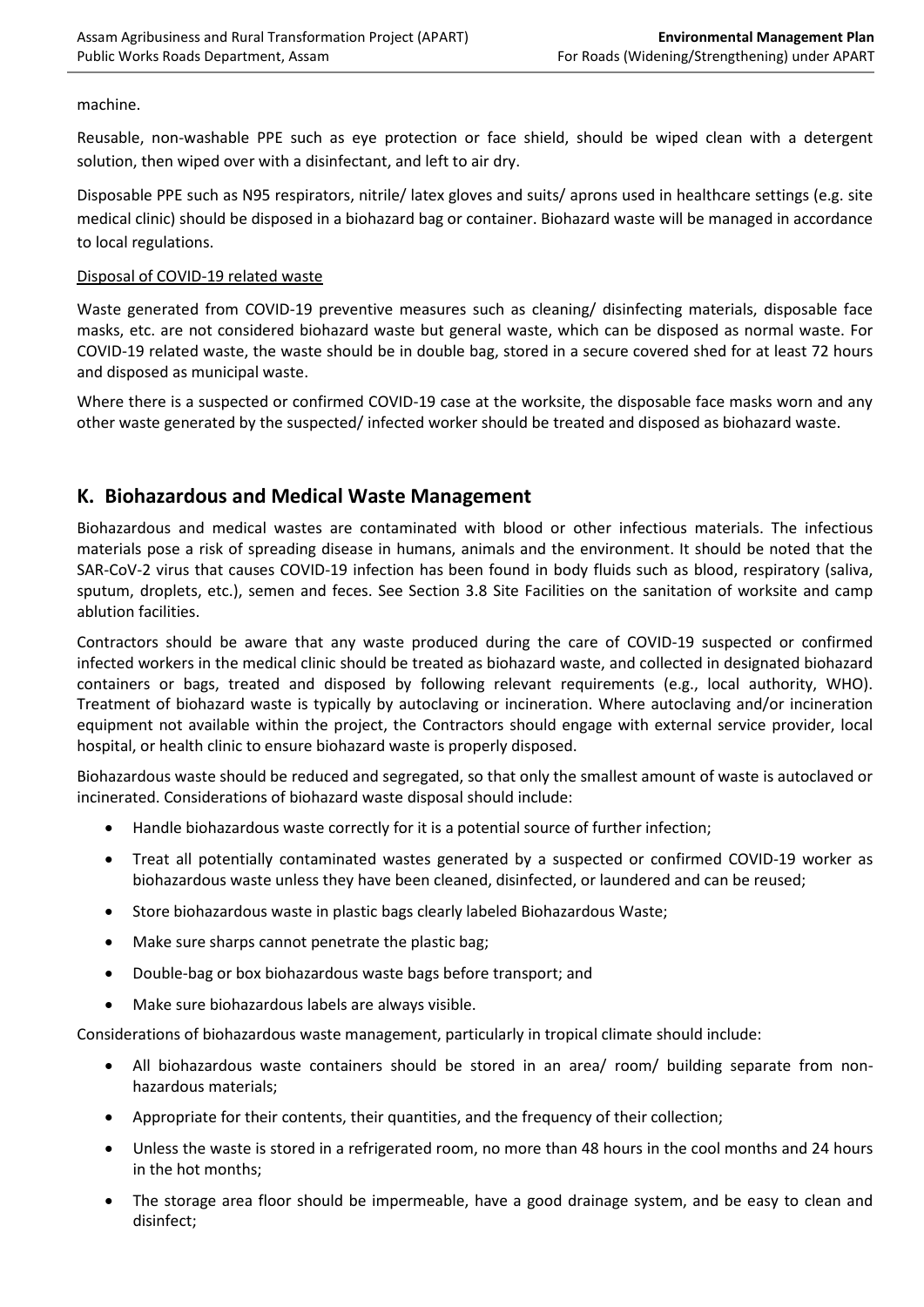#### machine.

Reusable, non-washable PPE such as eye protection or face shield, should be wiped clean with a detergent solution, then wiped over with a disinfectant, and left to air dry.

Disposable PPE such as N95 respirators, nitrile/ latex gloves and suits/ aprons used in healthcare settings (e.g. site medical clinic) should be disposed in a biohazard bag or container. Biohazard waste will be managed in accordance to local regulations.

#### Disposal of COVID-19 related waste

Waste generated from COVID-19 preventive measures such as cleaning/ disinfecting materials, disposable face masks, etc. are not considered biohazard waste but general waste, which can be disposed as normal waste. For COVID-19 related waste, the waste should be in double bag, stored in a secure covered shed for at least 72 hours and disposed as municipal waste.

Where there is a suspected or confirmed COVID-19 case at the worksite, the disposable face masks worn and any other waste generated by the suspected/ infected worker should be treated and disposed as biohazard waste.

## **K. Biohazardous and Medical Waste Management**

Biohazardous and medical wastes are contaminated with blood or other infectious materials. The infectious materials pose a risk of spreading disease in humans, animals and the environment. It should be noted that the SAR-CoV-2 virus that causes COVID-19 infection has been found in body fluids such as blood, respiratory (saliva, sputum, droplets, etc.), semen and feces. See Section 3.8 Site Facilities on the sanitation of worksite and camp ablution facilities.

Contractors should be aware that any waste produced during the care of COVID-19 suspected or confirmed infected workers in the medical clinic should be treated as biohazard waste, and collected in designated biohazard containers or bags, treated and disposed by following relevant requirements (e.g., local authority, WHO). Treatment of biohazard waste is typically by autoclaving or incineration. Where autoclaving and/or incineration equipment not available within the project, the Contractors should engage with external service provider, local hospital, or health clinic to ensure biohazard waste is properly disposed.

Biohazardous waste should be reduced and segregated, so that only the smallest amount of waste is autoclaved or incinerated. Considerations of biohazard waste disposal should include:

- Handle biohazardous waste correctly for it is a potential source of further infection;
- Treat all potentially contaminated wastes generated by a suspected or confirmed COVID-19 worker as biohazardous waste unless they have been cleaned, disinfected, or laundered and can be reused;
- Store biohazardous waste in plastic bags clearly labeled Biohazardous Waste;
- Make sure sharps cannot penetrate the plastic bag;
- Double-bag or box biohazardous waste bags before transport; and
- Make sure biohazardous labels are always visible.

Considerations of biohazardous waste management, particularly in tropical climate should include:

- All biohazardous waste containers should be stored in an area/ room/ building separate from nonhazardous materials;
- Appropriate for their contents, their quantities, and the frequency of their collection;
- Unless the waste is stored in a refrigerated room, no more than 48 hours in the cool months and 24 hours in the hot months;
- The storage area floor should be impermeable, have a good drainage system, and be easy to clean and disinfect;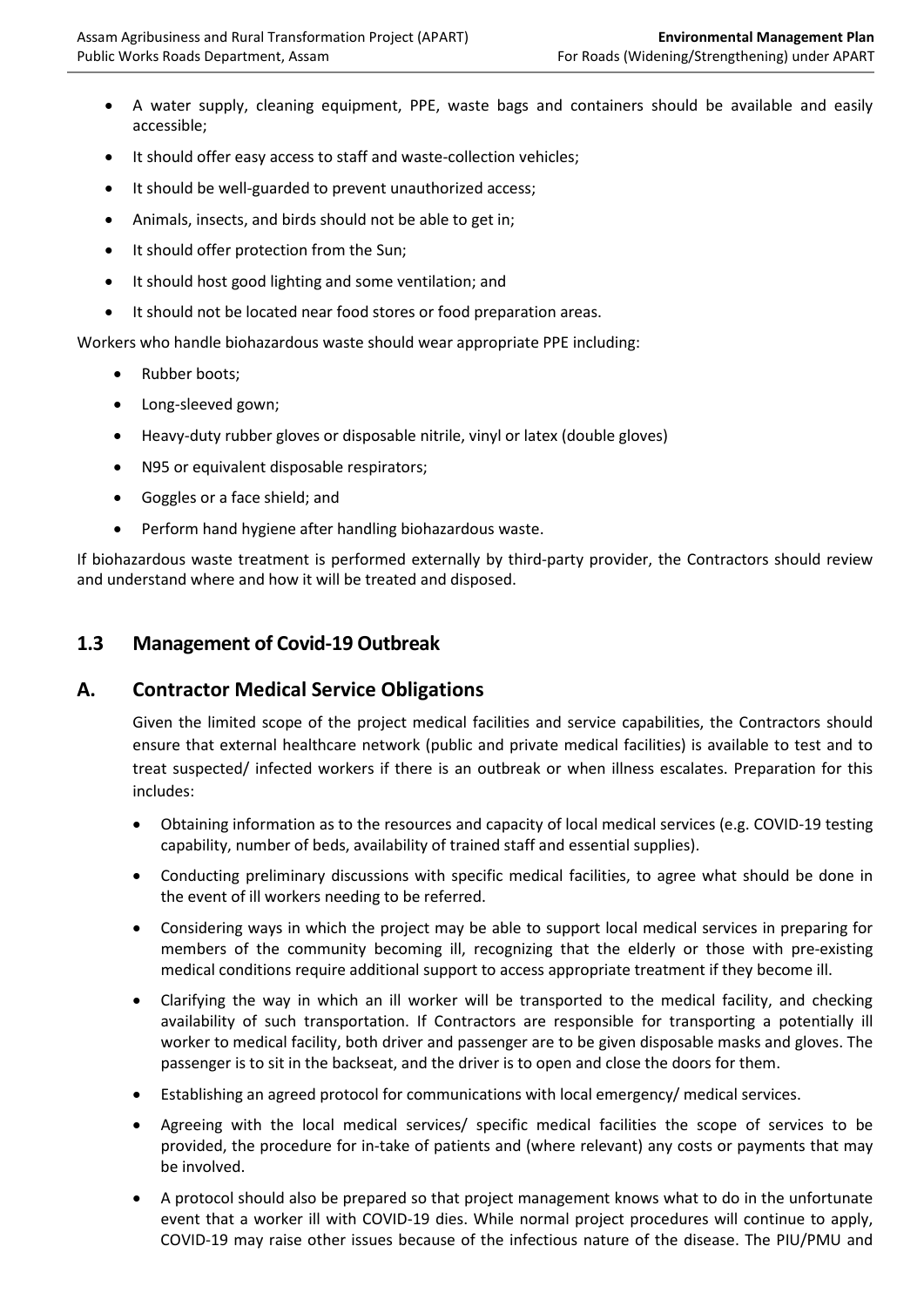- A water supply, cleaning equipment, PPE, waste bags and containers should be available and easily accessible;
- It should offer easy access to staff and waste-collection vehicles;
- It should be well-guarded to prevent unauthorized access;
- Animals, insects, and birds should not be able to get in;
- It should offer protection from the Sun;
- It should host good lighting and some ventilation; and
- It should not be located near food stores or food preparation areas.

Workers who handle biohazardous waste should wear appropriate PPE including:

- Rubber boots;
- Long-sleeved gown;
- Heavy-duty rubber gloves or disposable nitrile, vinyl or latex (double gloves)
- N95 or equivalent disposable respirators;
- Goggles or a face shield; and
- Perform hand hygiene after handling biohazardous waste.

If biohazardous waste treatment is performed externally by third-party provider, the Contractors should review and understand where and how it will be treated and disposed.

### **1.3 Management of Covid-19 Outbreak**

### **A. Contractor Medical Service Obligations**

Given the limited scope of the project medical facilities and service capabilities, the Contractors should ensure that external healthcare network (public and private medical facilities) is available to test and to treat suspected/ infected workers if there is an outbreak or when illness escalates. Preparation for this includes:

- Obtaining information as to the resources and capacity of local medical services (e.g. COVID-19 testing capability, number of beds, availability of trained staff and essential supplies).
- Conducting preliminary discussions with specific medical facilities, to agree what should be done in the event of ill workers needing to be referred.
- Considering ways in which the project may be able to support local medical services in preparing for members of the community becoming ill, recognizing that the elderly or those with pre-existing medical conditions require additional support to access appropriate treatment if they become ill.
- Clarifying the way in which an ill worker will be transported to the medical facility, and checking availability of such transportation. If Contractors are responsible for transporting a potentially ill worker to medical facility, both driver and passenger are to be given disposable masks and gloves. The passenger is to sit in the backseat, and the driver is to open and close the doors for them.
- Establishing an agreed protocol for communications with local emergency/ medical services.
- Agreeing with the local medical services/ specific medical facilities the scope of services to be provided, the procedure for in-take of patients and (where relevant) any costs or payments that may be involved.
- A protocol should also be prepared so that project management knows what to do in the unfortunate event that a worker ill with COVID-19 dies. While normal project procedures will continue to apply, COVID-19 may raise other issues because of the infectious nature of the disease. The PIU/PMU and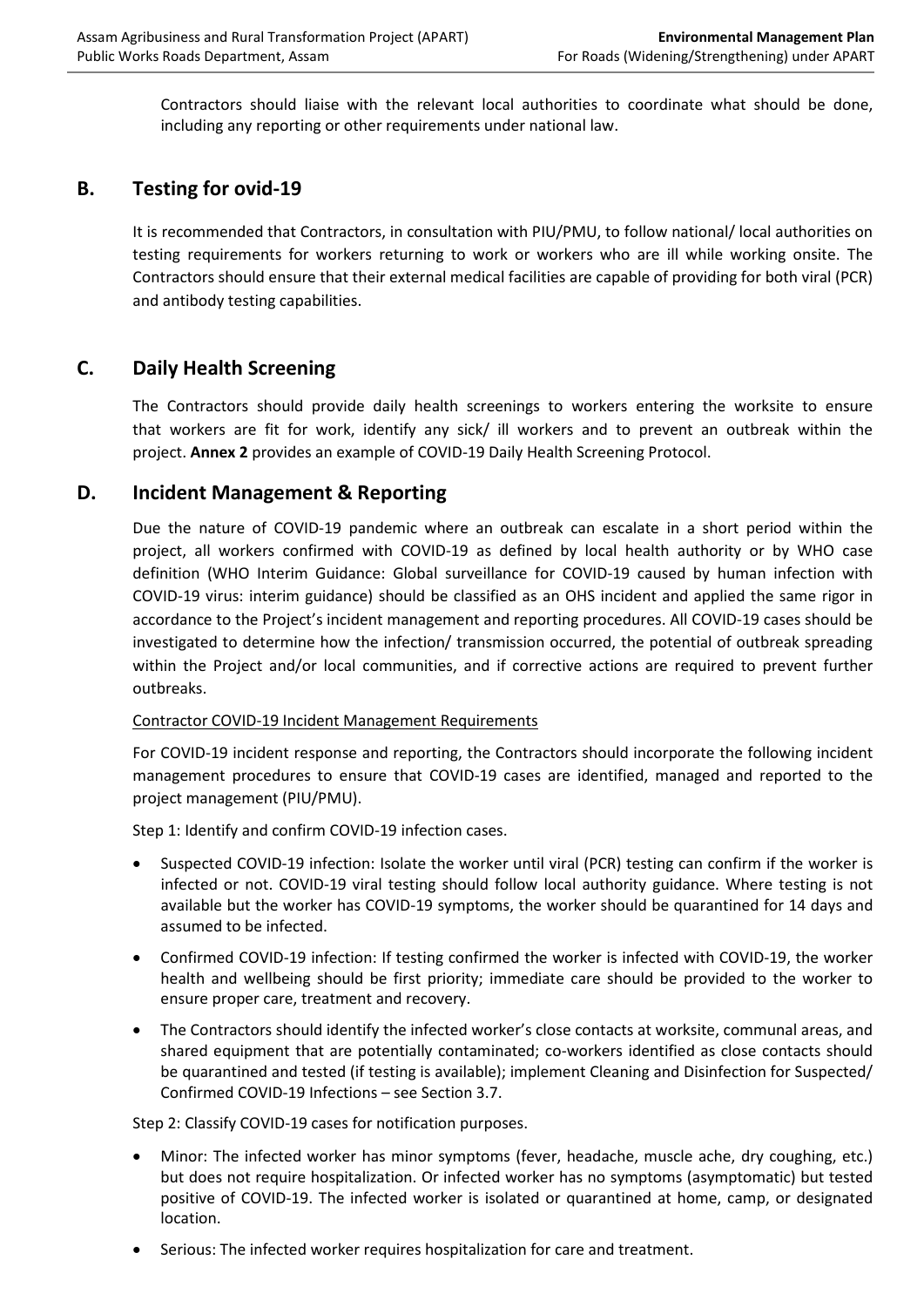Contractors should liaise with the relevant local authorities to coordinate what should be done, including any reporting or other requirements under national law.

## **B. Testing for ovid-19**

It is recommended that Contractors, in consultation with PIU/PMU, to follow national/ local authorities on testing requirements for workers returning to work or workers who are ill while working onsite. The Contractors should ensure that their external medical facilities are capable of providing for both viral (PCR) and antibody testing capabilities.

## **C. Daily Health Screening**

The Contractors should provide daily health screenings to workers entering the worksite to ensure that workers are fit for work, identify any sick/ ill workers and to prevent an outbreak within the project. **Annex 2** provides an example of COVID-19 Daily Health Screening Protocol.

### **D. Incident Management & Reporting**

Due the nature of COVID-19 pandemic where an outbreak can escalate in a short period within the project, all workers confirmed with COVID-19 as defined by local health authority or by WHO case definition (WHO Interim Guidance: [Global surveillance for COVID-19 caused by human infection with](https://www.who.int/publications/i/item/global-surveillance-for-covid-19-caused-by-human-infection-with-covid-19-virus-interim-guidance)  [COVID-19 virus: interim guidance\)](https://www.who.int/publications/i/item/global-surveillance-for-covid-19-caused-by-human-infection-with-covid-19-virus-interim-guidance) should be classified as an OHS incident and applied the same rigor in accordance to the Project's incident management and reporting procedures. All COVID-19 cases should be investigated to determine how the infection/ transmission occurred, the potential of outbreak spreading within the Project and/or local communities, and if corrective actions are required to prevent further outbreaks.

#### Contractor COVID-19 Incident Management Requirements

For COVID-19 incident response and reporting, the Contractors should incorporate the following incident management procedures to ensure that COVID-19 cases are identified, managed and reported to the project management (PIU/PMU).

Step 1: Identify and confirm COVID-19 infection cases.

- Suspected COVID-19 infection: Isolate the worker until viral (PCR) testing can confirm if the worker is infected or not. COVID-19 viral testing should follow local authority guidance. Where testing is not available but the worker has COVID-19 symptoms, the worker should be quarantined for 14 days and assumed to be infected.
- Confirmed COVID-19 infection: If testing confirmed the worker is infected with COVID-19, the worker health and wellbeing should be first priority; immediate care should be provided to the worker to ensure proper care, treatment and recovery.
- The Contractors should identify the infected worker's close contacts at worksite, communal areas, and shared equipment that are potentially contaminated; co-workers identified as close contacts should be quarantined and tested (if testing is available); implement Cleaning and Disinfection for Suspected/ Confirmed COVID-19 Infections – see Section 3.7.

Step 2: Classify COVID-19 cases for notification purposes.

- Minor: The infected worker has minor symptoms (fever, headache, muscle ache, dry coughing, etc.) but does not require hospitalization. Or infected worker has no symptoms (asymptomatic) but tested positive of COVID-19. The infected worker is isolated or quarantined at home, camp, or designated location.
- Serious: The infected worker requires hospitalization for care and treatment.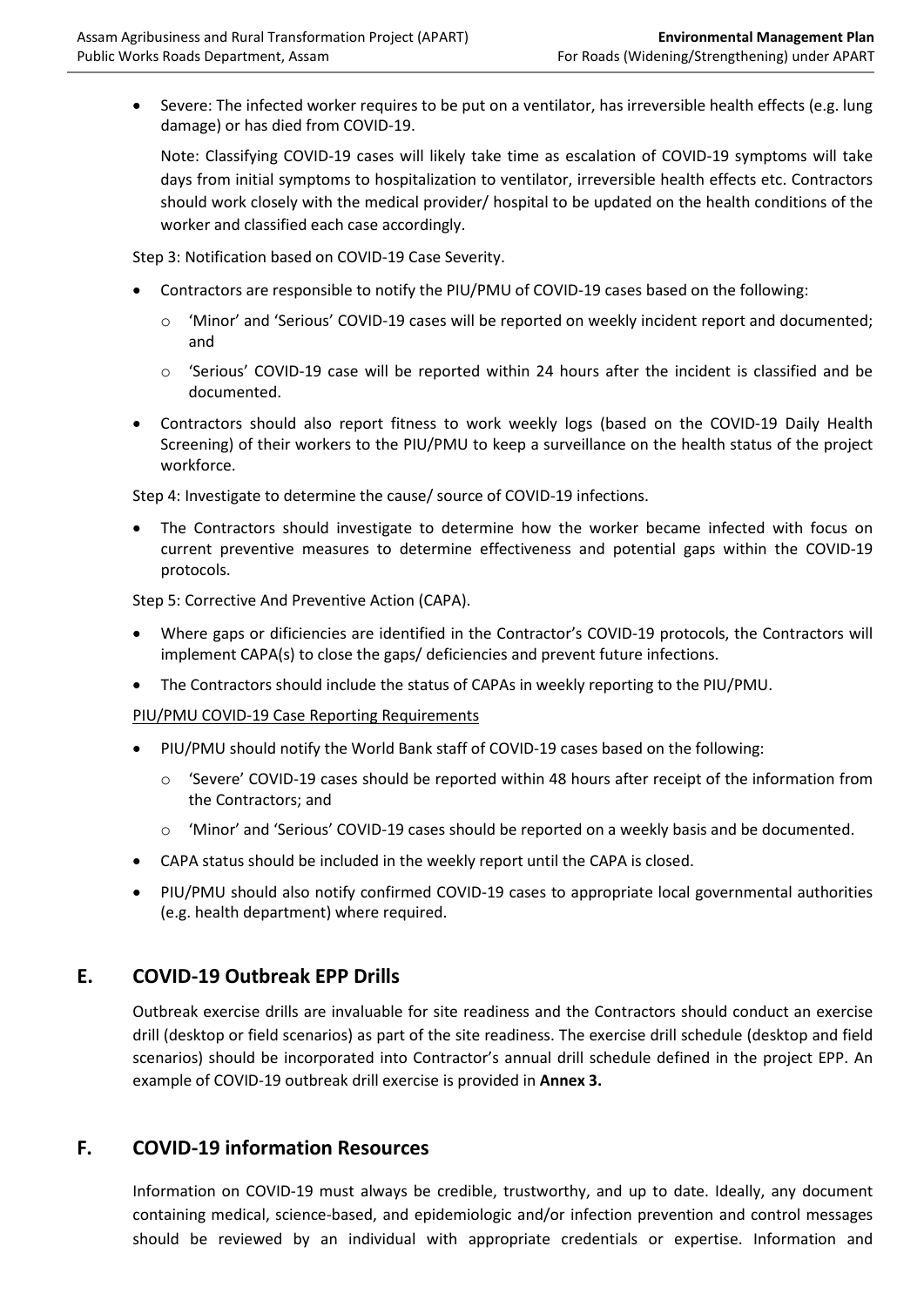• Severe: The infected worker requires to be put on a ventilator, has irreversible health effects (e.g. lung damage) or has died from COVID-19.

Note: Classifying COVID-19 cases will likely take time as escalation of COVID-19 symptoms will take days from initial symptoms to hospitalization to ventilator, irreversible health effects etc. Contractors should work closely with the medical provider/ hospital to be updated on the health conditions of the worker and classified each case accordingly.

Step 3: Notification based on COVID-19 Case Severity.

- Contractors are responsible to notify the PIU/PMU of COVID-19 cases based on the following:
	- o 'Minor' and 'Serious' COVID-19 cases will be reported on weekly incident report and documented; and
	- o 'Serious' COVID-19 case will be reported within 24 hours after the incident is classified and be documented.
- Contractors should also report fitness to work weekly logs (based on the COVID-19 Daily Health Screening) of their workers to the PIU/PMU to keep a surveillance on the health status of the project workforce.

Step 4: Investigate to determine the cause/ source of COVID-19 infections.

The Contractors should investigate to determine how the worker became infected with focus on current preventive measures to determine effectiveness and potential gaps within the COVID-19 protocols.

Step 5: Corrective And Preventive Action (CAPA).

- Where gaps or dificiencies are identified in the Contractor's COVID-19 protocols, the Contractors will implement CAPA(s) to close the gaps/ deficiencies and prevent future infections.
- The Contractors should include the status of CAPAs in weekly reporting to the PIU/PMU.

PIU/PMU COVID-19 Case Reporting Requirements

- PIU/PMU should notify the World Bank staff of COVID-19 cases based on the following:
	- $\circ$  'Severe' COVID-19 cases should be reported within 48 hours after receipt of the information from the Contractors; and
	- o 'Minor' and 'Serious' COVID-19 cases should be reported on a weekly basis and be documented.
- CAPA status should be included in the weekly report until the CAPA is closed.
- PIU/PMU should also notify confirmed COVID-19 cases to appropriate local governmental authorities (e.g. health department) where required.

### **E. COVID-19 Outbreak EPP Drills**

Outbreak exercise drills are invaluable for site readiness and the Contractors should conduct an exercise drill (desktop or field scenarios) as part of the site readiness. The exercise drill schedule (desktop and field scenarios) should be incorporated into Contractor's annual drill schedule defined in the project EPP. An example of COVID-19 outbreak drill exercise is provided in **Annex 3.**

### **F. COVID-19 information Resources**

Information on COVID-19 must always be credible, trustworthy, and up to date. Ideally, any document containing medical, science-based, and epidemiologic and/or infection prevention and control messages should be reviewed by an individual with appropriate credentials or expertise. Information and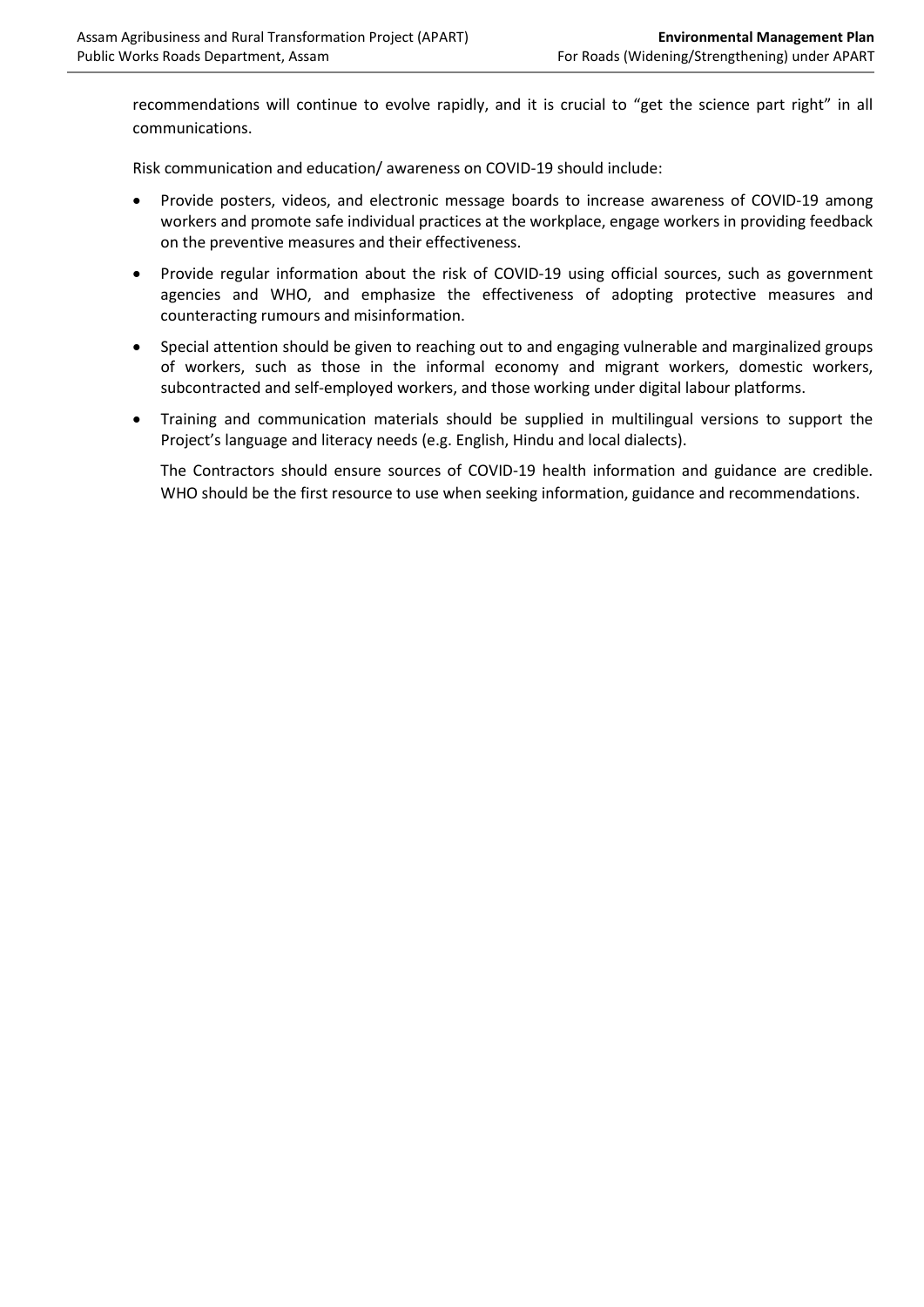recommendations will continue to evolve rapidly, and it is crucial to "get the science part right" in all communications.

Risk communication and education/ awareness on COVID-19 should include:

- Provide posters, videos, and electronic message boards to increase awareness of COVID-19 among workers and promote safe individual practices at the workplace, engage workers in providing feedback on the preventive measures and their effectiveness.
- Provide regular information about the risk of COVID-19 using official sources, such as government agencies and WHO, and emphasize the effectiveness of adopting protective measures and counteracting rumours and misinformation.
- Special attention should be given to reaching out to and engaging vulnerable and marginalized groups of workers, such as those in the informal economy and migrant workers, domestic workers, subcontracted and self-employed workers, and those working under digital labour platforms.
- Training and communication materials should be supplied in multilingual versions to support the Project's language and literacy needs (e.g. English, Hindu and local dialects).

The Contractors should ensure sources of COVID-19 health information and guidance are credible. WHO should be the first resource to use when seeking information, guidance and recommendations.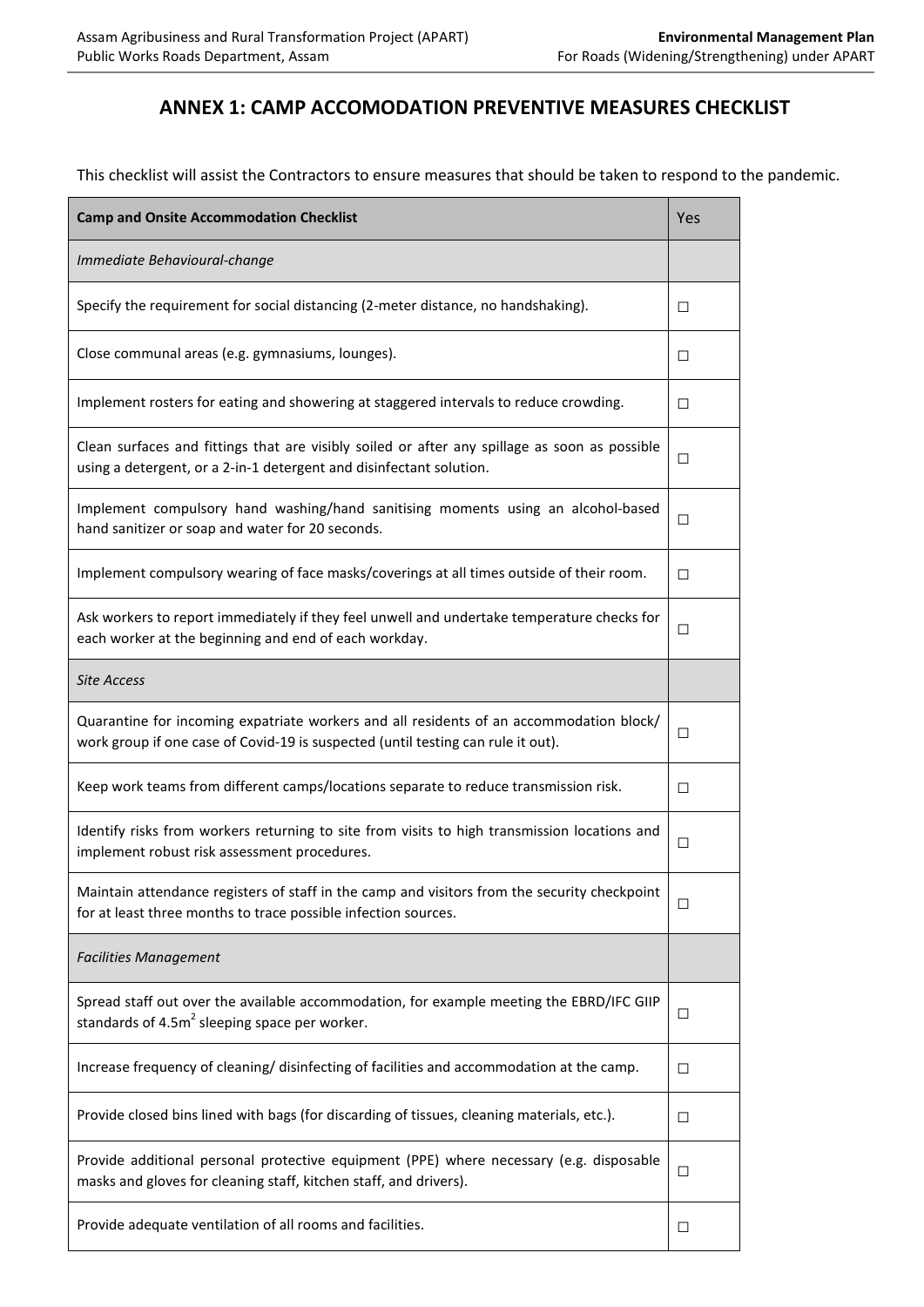## **ANNEX 1: CAMP ACCOMODATION PREVENTIVE MEASURES CHECKLIST**

This checklist will assist the Contractors to ensure measures that should be taken to respond to the pandemic.

| <b>Camp and Onsite Accommodation Checklist</b>                                                                                                                              |        |
|-----------------------------------------------------------------------------------------------------------------------------------------------------------------------------|--------|
| Immediate Behavioural-change                                                                                                                                                |        |
| Specify the requirement for social distancing (2-meter distance, no handshaking).                                                                                           | □      |
| Close communal areas (e.g. gymnasiums, lounges).                                                                                                                            |        |
| Implement rosters for eating and showering at staggered intervals to reduce crowding.                                                                                       |        |
| Clean surfaces and fittings that are visibly soiled or after any spillage as soon as possible<br>using a detergent, or a 2-in-1 detergent and disinfectant solution.        |        |
| Implement compulsory hand washing/hand sanitising moments using an alcohol-based<br>hand sanitizer or soap and water for 20 seconds.                                        |        |
| Implement compulsory wearing of face masks/coverings at all times outside of their room.                                                                                    | □      |
| Ask workers to report immediately if they feel unwell and undertake temperature checks for<br>each worker at the beginning and end of each workday.                         |        |
| <b>Site Access</b>                                                                                                                                                          |        |
| Quarantine for incoming expatriate workers and all residents of an accommodation block/<br>work group if one case of Covid-19 is suspected (until testing can rule it out). |        |
| Keep work teams from different camps/locations separate to reduce transmission risk.                                                                                        | □      |
| Identify risks from workers returning to site from visits to high transmission locations and<br>implement robust risk assessment procedures.                                |        |
| Maintain attendance registers of staff in the camp and visitors from the security checkpoint<br>for at least three months to trace possible infection sources.              |        |
| <b>Facilities Management</b>                                                                                                                                                |        |
| Spread staff out over the available accommodation, for example meeting the EBRD/IFC GIIP<br>standards of $4.5m2$ sleeping space per worker.                                 |        |
| Increase frequency of cleaning/ disinfecting of facilities and accommodation at the camp.                                                                                   | □      |
| Provide closed bins lined with bags (for discarding of tissues, cleaning materials, etc.).                                                                                  | □      |
| Provide additional personal protective equipment (PPE) where necessary (e.g. disposable<br>masks and gloves for cleaning staff, kitchen staff, and drivers).                |        |
| Provide adequate ventilation of all rooms and facilities.                                                                                                                   | $\Box$ |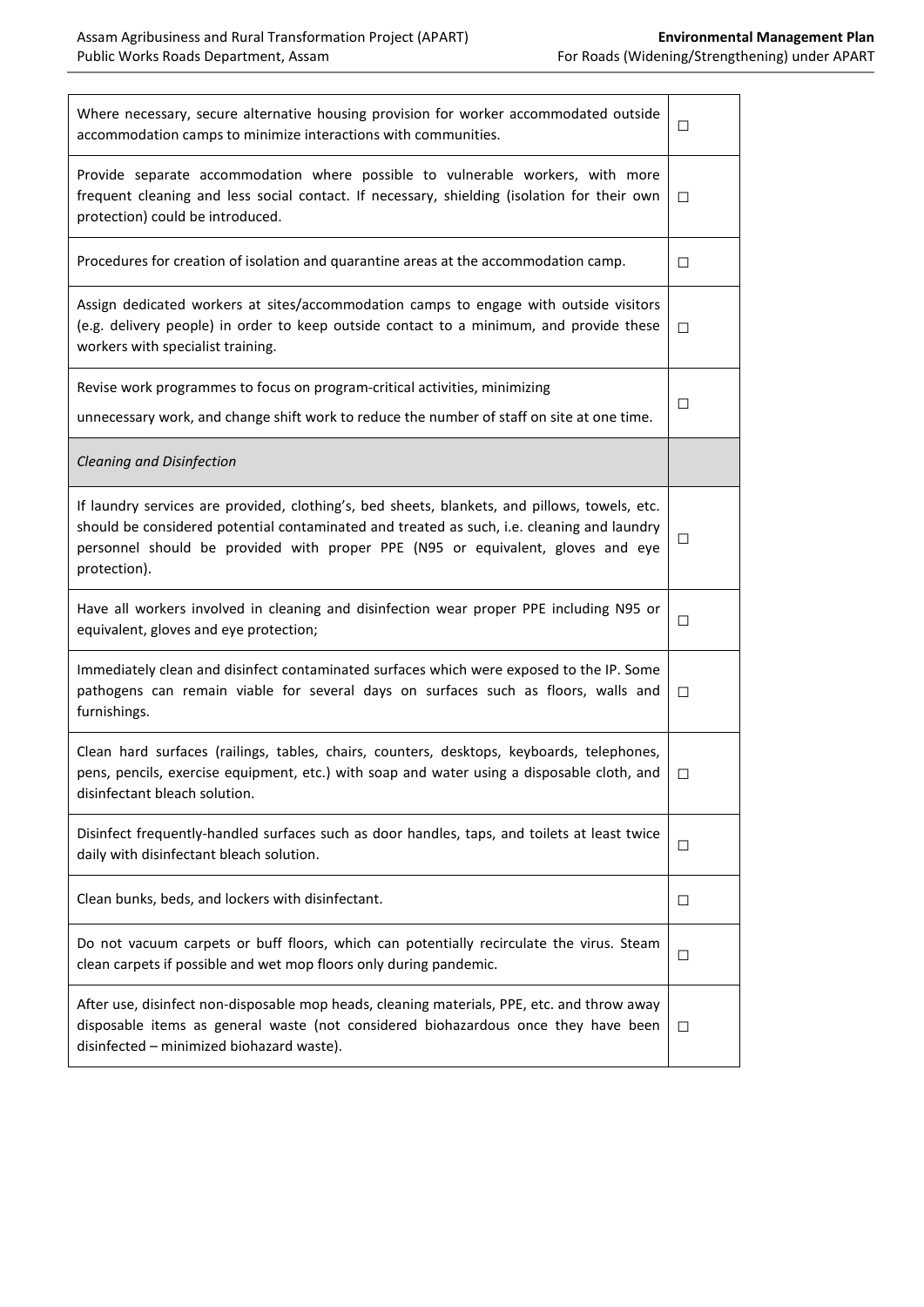| Where necessary, secure alternative housing provision for worker accommodated outside<br>accommodation camps to minimize interactions with communities.                                                                                                                                        |        |  |
|------------------------------------------------------------------------------------------------------------------------------------------------------------------------------------------------------------------------------------------------------------------------------------------------|--------|--|
| Provide separate accommodation where possible to vulnerable workers, with more<br>frequent cleaning and less social contact. If necessary, shielding (isolation for their own<br>protection) could be introduced.                                                                              |        |  |
| Procedures for creation of isolation and quarantine areas at the accommodation camp.                                                                                                                                                                                                           | $\Box$ |  |
| Assign dedicated workers at sites/accommodation camps to engage with outside visitors<br>(e.g. delivery people) in order to keep outside contact to a minimum, and provide these<br>workers with specialist training.                                                                          |        |  |
| Revise work programmes to focus on program-critical activities, minimizing                                                                                                                                                                                                                     | $\Box$ |  |
| unnecessary work, and change shift work to reduce the number of staff on site at one time.                                                                                                                                                                                                     |        |  |
| Cleaning and Disinfection                                                                                                                                                                                                                                                                      |        |  |
| If laundry services are provided, clothing's, bed sheets, blankets, and pillows, towels, etc.<br>should be considered potential contaminated and treated as such, i.e. cleaning and laundry<br>personnel should be provided with proper PPE (N95 or equivalent, gloves and eye<br>protection). | $\Box$ |  |
| Have all workers involved in cleaning and disinfection wear proper PPE including N95 or<br>equivalent, gloves and eye protection;                                                                                                                                                              |        |  |
| Immediately clean and disinfect contaminated surfaces which were exposed to the IP. Some<br>pathogens can remain viable for several days on surfaces such as floors, walls and<br>furnishings.                                                                                                 |        |  |
| Clean hard surfaces (railings, tables, chairs, counters, desktops, keyboards, telephones,<br>pens, pencils, exercise equipment, etc.) with soap and water using a disposable cloth, and<br>disinfectant bleach solution.                                                                       |        |  |
| Disinfect frequently-handled surfaces such as door handles, taps, and toilets at least twice<br>daily with disinfectant bleach solution.                                                                                                                                                       |        |  |
| Clean bunks, beds, and lockers with disinfectant.                                                                                                                                                                                                                                              | $\Box$ |  |
| Do not vacuum carpets or buff floors, which can potentially recirculate the virus. Steam<br>clean carpets if possible and wet mop floors only during pandemic.                                                                                                                                 | $\Box$ |  |
| After use, disinfect non-disposable mop heads, cleaning materials, PPE, etc. and throw away<br>disposable items as general waste (not considered biohazardous once they have been<br>disinfected - minimized biohazard waste).                                                                 | $\Box$ |  |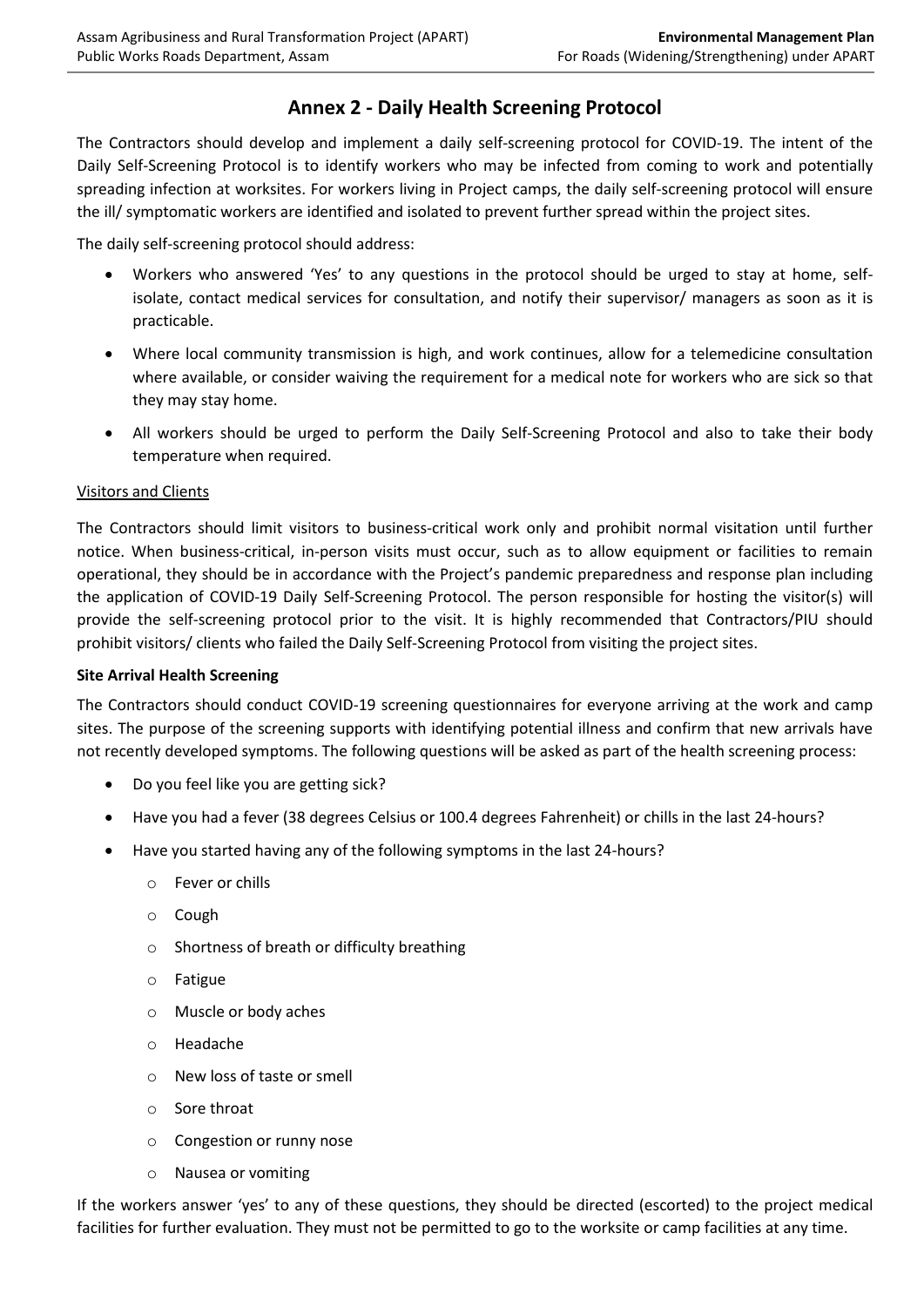## **Annex 2 - Daily Health Screening Protocol**

The Contractors should develop and implement a daily self-screening protocol for COVID-19. The intent of the Daily Self-Screening Protocol is to identify workers who may be infected from coming to work and potentially spreading infection at worksites. For workers living in Project camps, the daily self-screening protocol will ensure the ill/ symptomatic workers are identified and isolated to prevent further spread within the project sites.

The daily self-screening protocol should address:

- Workers who answered 'Yes' to any questions in the protocol should be urged to stay at home, selfisolate, contact medical services for consultation, and notify their supervisor/ managers as soon as it is practicable.
- Where local community transmission is high, and work continues, allow for a telemedicine consultation where available, or consider waiving the requirement for a medical note for workers who are sick so that they may stay home.
- All workers should be urged to perform the Daily Self-Screening Protocol and also to take their body temperature when required.

#### Visitors and Clients

The Contractors should limit visitors to business-critical work only and prohibit normal visitation until further notice. When business-critical, in-person visits must occur, such as to allow equipment or facilities to remain operational, they should be in accordance with the Project's pandemic preparedness and response plan including the application of COVID-19 Daily Self-Screening Protocol. The person responsible for hosting the visitor(s) will provide the self-screening protocol prior to the visit. It is highly recommended that Contractors/PIU should prohibit visitors/ clients who failed the Daily Self-Screening Protocol from visiting the project sites.

#### **Site Arrival Health Screening**

The Contractors should conduct COVID-19 screening questionnaires for everyone arriving at the work and camp sites. The purpose of the screening supports with identifying potential illness and confirm that new arrivals have not recently developed symptoms. The following questions will be asked as part of the health screening process:

- Do you feel like you are getting sick?
- Have you had a fever (38 degrees Celsius or 100.4 degrees Fahrenheit) or chills in the last 24-hours?
- Have you started having any of the following symptoms in the last 24-hours?
	- o Fever or chills
	- o Cough
	- o Shortness of breath or difficulty breathing
	- o Fatigue
	- o Muscle or body aches
	- o Headache
	- o New loss of taste or smell
	- o Sore throat
	- o Congestion or runny nose
	- o Nausea or vomiting

If the workers answer 'yes' to any of these questions, they should be directed (escorted) to the project medical facilities for further evaluation. They must not be permitted to go to the worksite or camp facilities at any time.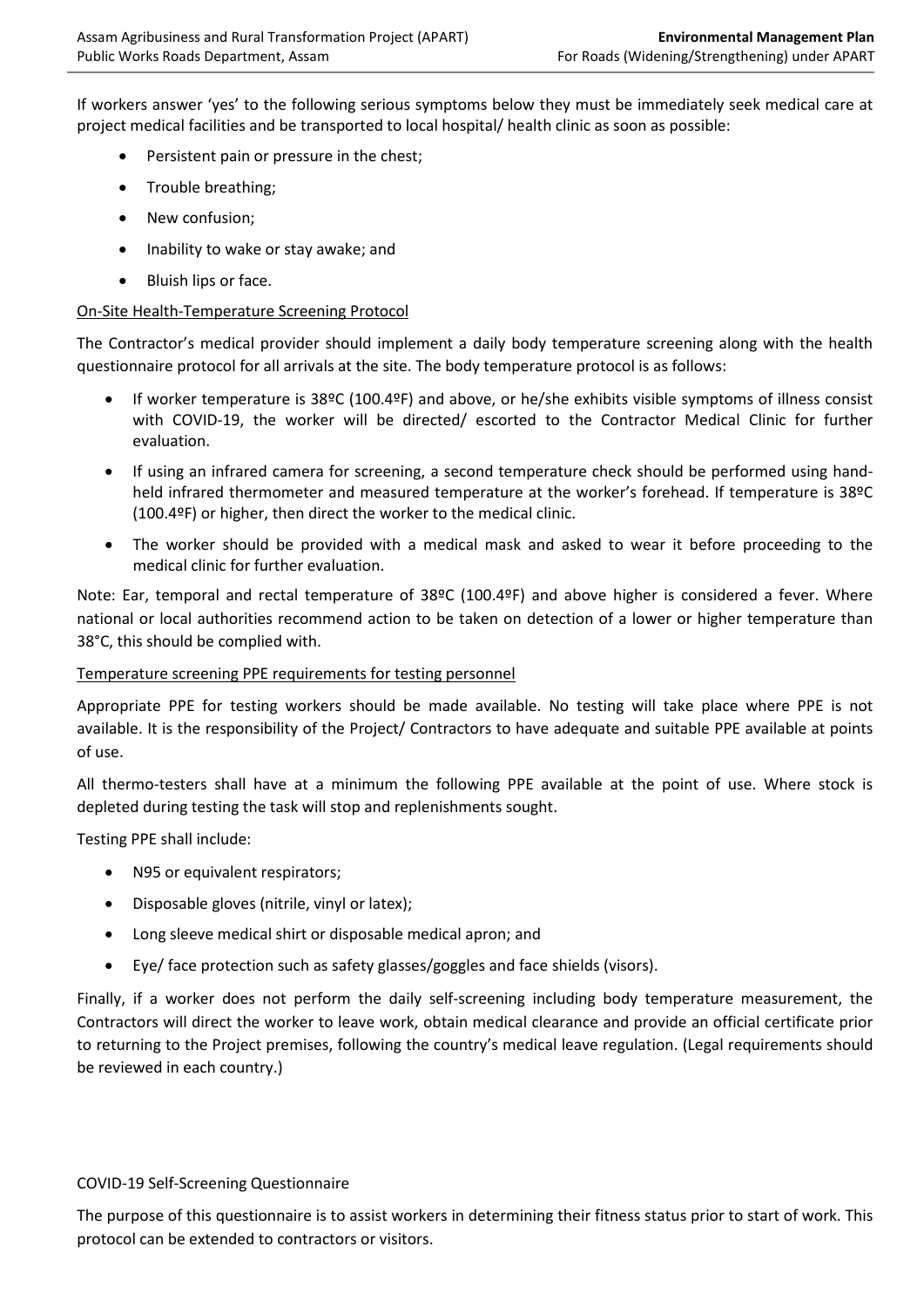If workers answer 'yes' to the following serious symptoms below they must be immediately seek medical care at project medical facilities and be transported to local hospital/ health clinic as soon as possible:

- Persistent pain or pressure in the chest;
- Trouble breathing;
- New confusion:
- Inability to wake or stay awake; and
- Bluish lips or face.

#### On-Site Health-Temperature Screening Protocol

The Contractor's medical provider should implement a daily body temperature screening along with the health questionnaire protocol for all arrivals at the site. The body temperature protocol is as follows:

- If worker temperature is 38ºC (100.4ºF) and above, or he/she exhibits visible symptoms of illness consist with COVID-19, the worker will be directed/ escorted to the Contractor Medical Clinic for further evaluation.
- If using an infrared camera for screening, a second temperature check should be performed using handheld infrared thermometer and measured temperature at the worker's forehead. If temperature is 38ºC (100.4ºF) or higher, then direct the worker to the medical clinic.
- The worker should be provided with a medical mask and asked to wear it before proceeding to the medical clinic for further evaluation.

Note: Ear, temporal and rectal temperature of 38ºC (100.4ºF) and above higher is considered a fever. Where national or local authorities recommend action to be taken on detection of a lower or higher temperature than 38°C, this should be complied with.

#### Temperature screening PPE requirements for testing personnel

Appropriate PPE for testing workers should be made available. No testing will take place where PPE is not available. It is the responsibility of the Project/ Contractors to have adequate and suitable PPE available at points of use.

All thermo-testers shall have at a minimum the following PPE available at the point of use. Where stock is depleted during testing the task will stop and replenishments sought.

Testing PPE shall include:

- N95 or equivalent respirators;
- Disposable gloves (nitrile, vinyl or latex);
- Long sleeve medical shirt or disposable medical apron; and
- Eye/ face protection such as safety glasses/goggles and face shields (visors).

Finally, if a worker does not perform the daily self-screening including body temperature measurement, the Contractors will direct the worker to leave work, obtain medical clearance and provide an official certificate prior to returning to the Project premises, following the country's medical leave regulation. (Legal requirements should be reviewed in each country.)

#### COVID-19 Self-Screening Questionnaire

The purpose of this questionnaire is to assist workers in determining their fitness status prior to start of work. This protocol can be extended to contractors or visitors.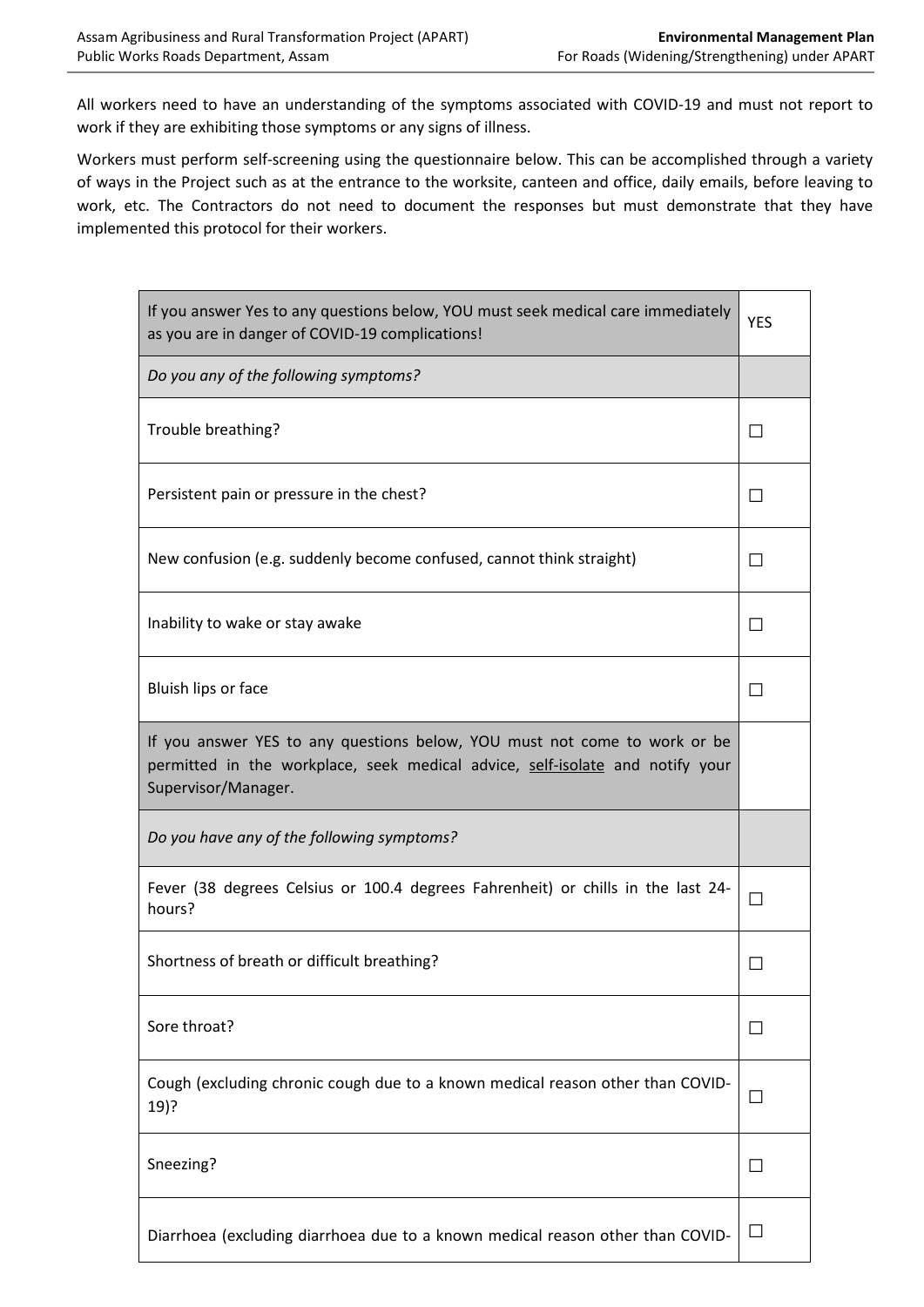All workers need to have an understanding of the symptoms associated with COVID-19 and must not report to work if they are exhibiting those symptoms or any signs of illness.

Workers must perform self-screening using the questionnaire below. This can be accomplished through a variety of ways in the Project such as at the entrance to the worksite, canteen and office, daily emails, before leaving to work, etc. The Contractors do not need to document the responses but must demonstrate that they have implemented this protocol for their workers.

| If you answer Yes to any questions below, YOU must seek medical care immediately<br>as you are in danger of COVID-19 complications!                                               |              |
|-----------------------------------------------------------------------------------------------------------------------------------------------------------------------------------|--------------|
| Do you any of the following symptoms?                                                                                                                                             |              |
| Trouble breathing?                                                                                                                                                                | $\mathsf{L}$ |
| Persistent pain or pressure in the chest?                                                                                                                                         | П            |
| New confusion (e.g. suddenly become confused, cannot think straight)                                                                                                              | П            |
| Inability to wake or stay awake                                                                                                                                                   | П            |
| Bluish lips or face                                                                                                                                                               | П            |
| If you answer YES to any questions below, YOU must not come to work or be<br>permitted in the workplace, seek medical advice, self-isolate and notify your<br>Supervisor/Manager. |              |
| Do you have any of the following symptoms?                                                                                                                                        |              |
| Fever (38 degrees Celsius or 100.4 degrees Fahrenheit) or chills in the last 24-<br>hours?                                                                                        |              |
| Shortness of breath or difficult breathing?                                                                                                                                       |              |
| Sore throat?                                                                                                                                                                      | П            |
| Cough (excluding chronic cough due to a known medical reason other than COVID-<br>19)?                                                                                            | $\Box$       |
| Sneezing?                                                                                                                                                                         | $\Box$       |
| Diarrhoea (excluding diarrhoea due to a known medical reason other than COVID-                                                                                                    | $\Box$       |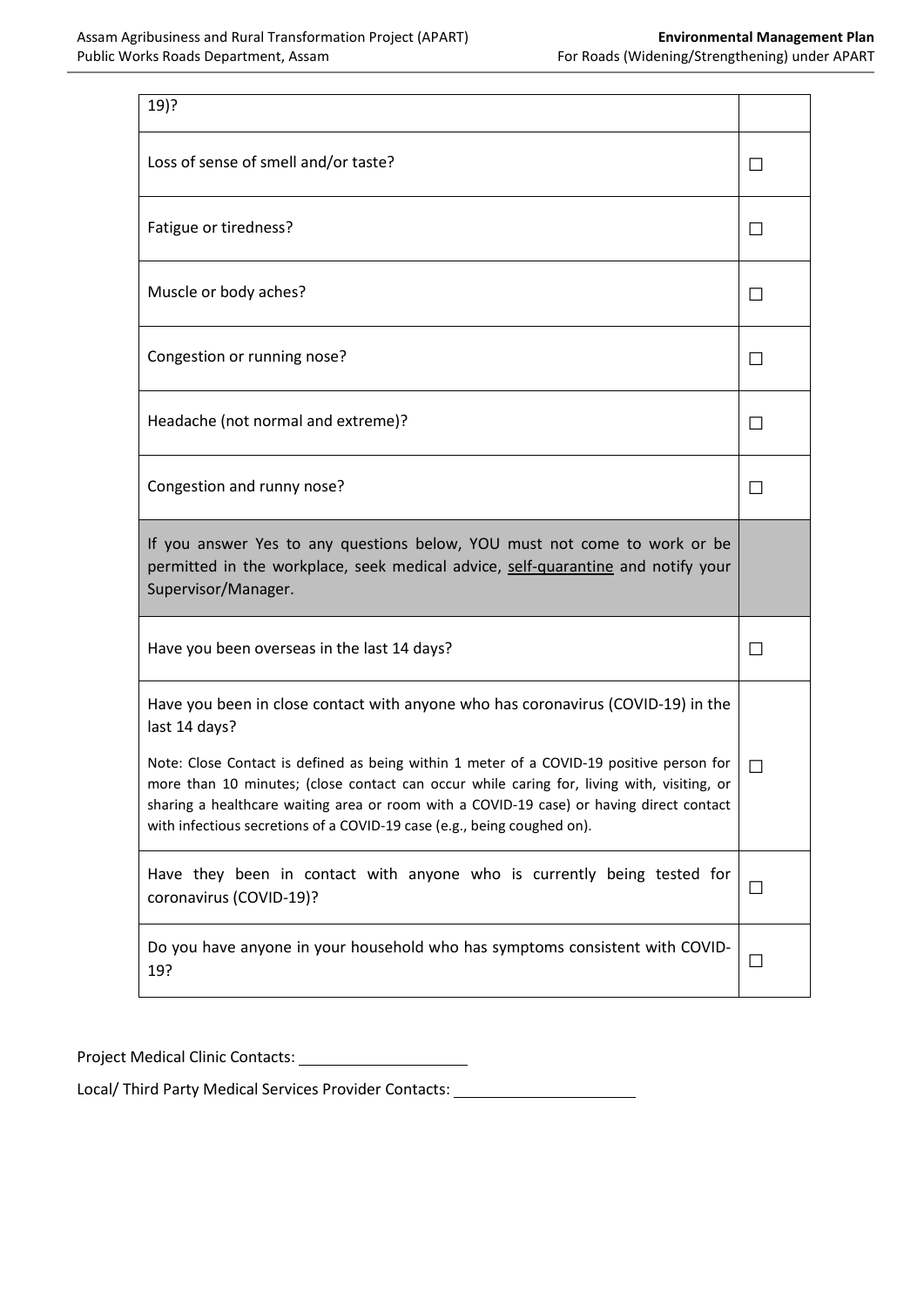| $19)$ ?                                                                                                                                                                                                                                                                                                                                                                                                                                                            |         |
|--------------------------------------------------------------------------------------------------------------------------------------------------------------------------------------------------------------------------------------------------------------------------------------------------------------------------------------------------------------------------------------------------------------------------------------------------------------------|---------|
| Loss of sense of smell and/or taste?                                                                                                                                                                                                                                                                                                                                                                                                                               |         |
| Fatigue or tiredness?                                                                                                                                                                                                                                                                                                                                                                                                                                              | ΙI      |
| Muscle or body aches?                                                                                                                                                                                                                                                                                                                                                                                                                                              | $\perp$ |
| Congestion or running nose?                                                                                                                                                                                                                                                                                                                                                                                                                                        | $\perp$ |
| Headache (not normal and extreme)?                                                                                                                                                                                                                                                                                                                                                                                                                                 | $\perp$ |
| Congestion and runny nose?                                                                                                                                                                                                                                                                                                                                                                                                                                         | $\perp$ |
| If you answer Yes to any questions below, YOU must not come to work or be<br>permitted in the workplace, seek medical advice, self-quarantine and notify your<br>Supervisor/Manager.                                                                                                                                                                                                                                                                               |         |
| Have you been overseas in the last 14 days?                                                                                                                                                                                                                                                                                                                                                                                                                        |         |
| Have you been in close contact with anyone who has coronavirus (COVID-19) in the<br>last 14 days?<br>Note: Close Contact is defined as being within 1 meter of a COVID-19 positive person for<br>more than 10 minutes; (close contact can occur while caring for, living with, visiting, or<br>sharing a healthcare waiting area or room with a COVID-19 case) or having direct contact<br>with infectious secretions of a COVID-19 case (e.g., being coughed on). |         |
| Have they been in contact with anyone who is currently being tested for<br>coronavirus (COVID-19)?                                                                                                                                                                                                                                                                                                                                                                 | П       |
| Do you have anyone in your household who has symptoms consistent with COVID-<br>19?                                                                                                                                                                                                                                                                                                                                                                                | Ш       |

Project Medical Clinic Contacts:

Local/ Third Party Medical Services Provider Contacts: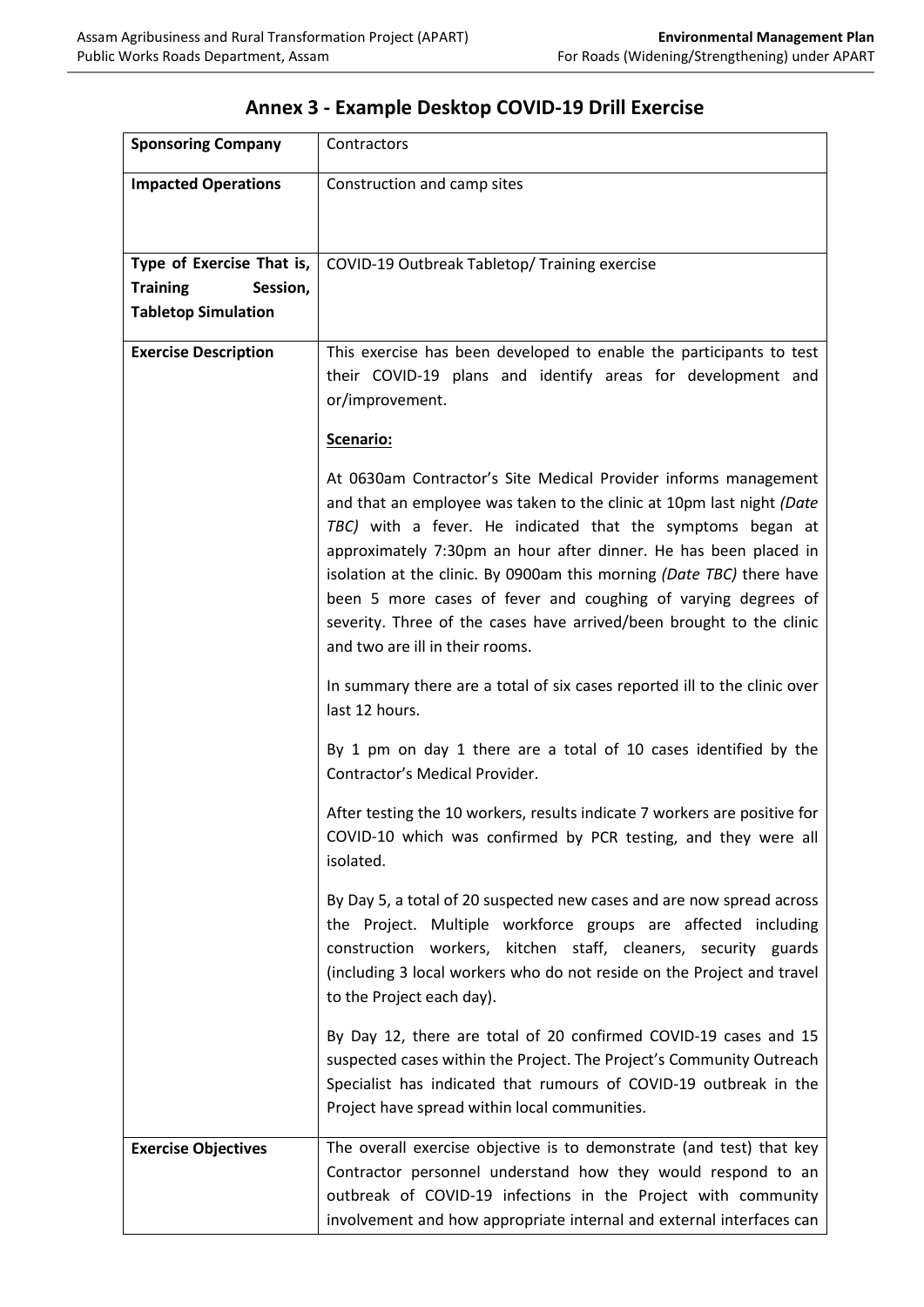| <b>Sponsoring Company</b>                                                              | Contractors                                                                                                                                                                                                                                                                                                                                                                                                                                                                                                                     |
|----------------------------------------------------------------------------------------|---------------------------------------------------------------------------------------------------------------------------------------------------------------------------------------------------------------------------------------------------------------------------------------------------------------------------------------------------------------------------------------------------------------------------------------------------------------------------------------------------------------------------------|
| <b>Impacted Operations</b>                                                             | Construction and camp sites                                                                                                                                                                                                                                                                                                                                                                                                                                                                                                     |
| Type of Exercise That is,<br><b>Training</b><br>Session,<br><b>Tabletop Simulation</b> | COVID-19 Outbreak Tabletop/ Training exercise                                                                                                                                                                                                                                                                                                                                                                                                                                                                                   |
| <b>Exercise Description</b>                                                            | This exercise has been developed to enable the participants to test<br>their COVID-19 plans and identify areas for development and<br>or/improvement.                                                                                                                                                                                                                                                                                                                                                                           |
|                                                                                        | Scenario:                                                                                                                                                                                                                                                                                                                                                                                                                                                                                                                       |
|                                                                                        | At 0630am Contractor's Site Medical Provider informs management<br>and that an employee was taken to the clinic at 10pm last night (Date<br>TBC) with a fever. He indicated that the symptoms began at<br>approximately 7:30pm an hour after dinner. He has been placed in<br>isolation at the clinic. By 0900am this morning (Date TBC) there have<br>been 5 more cases of fever and coughing of varying degrees of<br>severity. Three of the cases have arrived/been brought to the clinic<br>and two are ill in their rooms. |
|                                                                                        | In summary there are a total of six cases reported ill to the clinic over<br>last 12 hours.                                                                                                                                                                                                                                                                                                                                                                                                                                     |
|                                                                                        | By 1 pm on day 1 there are a total of 10 cases identified by the<br>Contractor's Medical Provider.                                                                                                                                                                                                                                                                                                                                                                                                                              |
|                                                                                        | After testing the 10 workers, results indicate 7 workers are positive for<br>COVID-10 which was confirmed by PCR testing, and they were all<br>isolated.                                                                                                                                                                                                                                                                                                                                                                        |
|                                                                                        | By Day 5, a total of 20 suspected new cases and are now spread across<br>the Project. Multiple workforce groups are affected including<br>construction workers, kitchen staff, cleaners, security guards<br>(including 3 local workers who do not reside on the Project and travel<br>to the Project each day).                                                                                                                                                                                                                 |
|                                                                                        | By Day 12, there are total of 20 confirmed COVID-19 cases and 15<br>suspected cases within the Project. The Project's Community Outreach<br>Specialist has indicated that rumours of COVID-19 outbreak in the<br>Project have spread within local communities.                                                                                                                                                                                                                                                                  |
| <b>Exercise Objectives</b>                                                             | The overall exercise objective is to demonstrate (and test) that key<br>Contractor personnel understand how they would respond to an<br>outbreak of COVID-19 infections in the Project with community<br>involvement and how appropriate internal and external interfaces can                                                                                                                                                                                                                                                   |

# **Annex 3 - Example Desktop COVID-19 Drill Exercise**